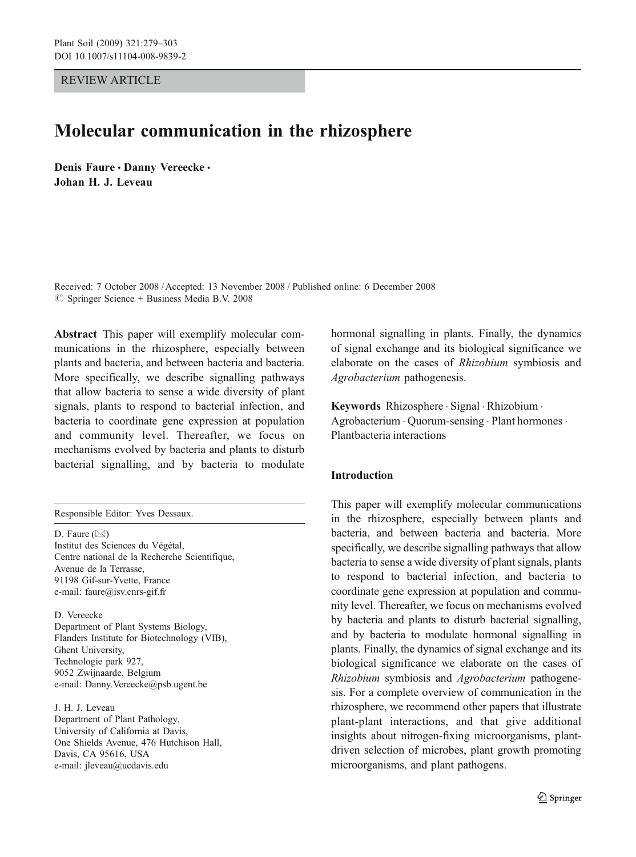REVIEW ARTICLE

# Molecular communication in the rhizosphere

Denis Faure · Danny Vereecke · Johan H. J. Leveau

Received: 7 October 2008 /Accepted: 13 November 2008 / Published online: 6 December 2008  $\circ$  Springer Science + Business Media B.V. 2008

Abstract This paper will exemplify molecular communications in the rhizosphere, especially between plants and bacteria, and between bacteria and bacteria. More specifically, we describe signalling pathways that allow bacteria to sense a wide diversity of plant signals, plants to respond to bacterial infection, and bacteria to coordinate gene expression at population and community level. Thereafter, we focus on mechanisms evolved by bacteria and plants to disturb bacterial signalling, and by bacteria to modulate

Responsible Editor: Yves Dessaux.

D. Faure  $(\boxtimes)$ Institut des Sciences du Végétal, Centre national de la Recherche Scientifique, Avenue de la Terrasse, 91198 Gif-sur-Yvette, France e-mail: faure@isv.cnrs-gif.fr

D. Vereecke Department of Plant Systems Biology, Flanders Institute for Biotechnology (VIB), Ghent University, Technologie park 927, 9052 Zwijnaarde, Belgium e-mail: Danny.Vereecke@psb.ugent.be

J. H. J. Leveau Department of Plant Pathology, University of California at Davis, One Shields Avenue, 476 Hutchison Hall, Davis, CA 95616, USA e-mail: jleveau@ucdavis.edu

hormonal signalling in plants. Finally, the dynamics of signal exchange and its biological significance we elaborate on the cases of Rhizobium symbiosis and Agrobacterium pathogenesis.

Keywords Rhizosphere . Signal . Rhizobium . Agrobacterium . Quorum-sensing . Plant hormones . Plantbacteria interactions

# Introduction

This paper will exemplify molecular communications in the rhizosphere, especially between plants and bacteria, and between bacteria and bacteria. More specifically, we describe signalling pathways that allow bacteria to sense a wide diversity of plant signals, plants to respond to bacterial infection, and bacteria to coordinate gene expression at population and community level. Thereafter, we focus on mechanisms evolved by bacteria and plants to disturb bacterial signalling, and by bacteria to modulate hormonal signalling in plants. Finally, the dynamics of signal exchange and its biological significance we elaborate on the cases of Rhizobium symbiosis and Agrobacterium pathogenesis. For a complete overview of communication in the rhizosphere, we recommend other papers that illustrate plant-plant interactions, and that give additional insights about nitrogen-fixing microorganisms, plantdriven selection of microbes, plant growth promoting microorganisms, and plant pathogens.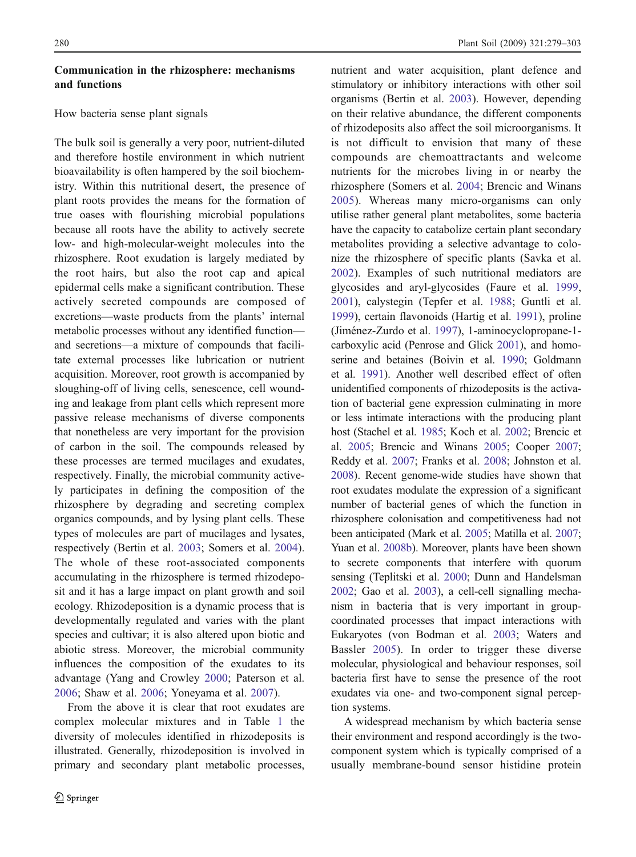# Communication in the rhizosphere: mechanisms and functions

#### How bacteria sense plant signals

The bulk soil is generally a very poor, nutrient-diluted and therefore hostile environment in which nutrient bioavailability is often hampered by the soil biochemistry. Within this nutritional desert, the presence of plant roots provides the means for the formation of true oases with flourishing microbial populations because all roots have the ability to actively secrete low- and high-molecular-weight molecules into the rhizosphere. Root exudation is largely mediated by the root hairs, but also the root cap and apical epidermal cells make a significant contribution. These actively secreted compounds are composed of excretions—waste products from the plants' internal metabolic processes without any identified function and secretions—a mixture of compounds that facilitate external processes like lubrication or nutrient acquisition. Moreover, root growth is accompanied by sloughing-off of living cells, senescence, cell wounding and leakage from plant cells which represent more passive release mechanisms of diverse components that nonetheless are very important for the provision of carbon in the soil. The compounds released by these processes are termed mucilages and exudates, respectively. Finally, the microbial community actively participates in defining the composition of the rhizosphere by degrading and secreting complex organics compounds, and by lysing plant cells. These types of molecules are part of mucilages and lysates, respectively (Bertin et al. [2003](#page-16-0); Somers et al. [2004](#page-22-0)). The whole of these root-associated components accumulating in the rhizosphere is termed rhizodeposit and it has a large impact on plant growth and soil ecology. Rhizodeposition is a dynamic process that is developmentally regulated and varies with the plant species and cultivar; it is also altered upon biotic and abiotic stress. Moreover, the microbial community influences the composition of the exudates to its advantage (Yang and Crowley [2000](#page-24-0); Paterson et al. [2006](#page-21-0); Shaw et al. [2006](#page-22-0); Yoneyama et al. [2007](#page-24-0)).

From the above it is clear that root exudates are complex molecular mixtures and in Table [1](#page-2-0) the diversity of molecules identified in rhizodeposits is illustrated. Generally, rhizodeposition is involved in primary and secondary plant metabolic processes,

nutrient and water acquisition, plant defence and stimulatory or inhibitory interactions with other soil organisms (Bertin et al. [2003](#page-16-0)). However, depending on their relative abundance, the different components of rhizodeposits also affect the soil microorganisms. It is not difficult to envision that many of these compounds are chemoattractants and welcome nutrients for the microbes living in or nearby the rhizosphere (Somers et al. [2004](#page-22-0); Brencic and Winans [2005](#page-16-0)). Whereas many micro-organisms can only utilise rather general plant metabolites, some bacteria have the capacity to catabolize certain plant secondary metabolites providing a selective advantage to colonize the rhizosphere of specific plants (Savka et al. [2002](#page-22-0)). Examples of such nutritional mediators are glycosides and aryl-glycosides (Faure et al. [1999](#page-18-0), [2001](#page-18-0)), calystegin (Tepfer et al. [1988](#page-23-0); Guntli et al. [1999](#page-19-0)), certain flavonoids (Hartig et al. [1991](#page-19-0)), proline (Jiménez-Zurdo et al. [1997](#page-19-0)), 1-aminocyclopropane-1 carboxylic acid (Penrose and Glick [2001](#page-21-0)), and homoserine and betaines (Boivin et al. [1990](#page-16-0); Goldmann et al. [1991](#page-18-0)). Another well described effect of often unidentified components of rhizodeposits is the activation of bacterial gene expression culminating in more or less intimate interactions with the producing plant host (Stachel et al. [1985](#page-23-0); Koch et al. [2002](#page-20-0); Brencic et al. [2005](#page-16-0); Brencic and Winans [2005](#page-16-0); Cooper [2007](#page-17-0); Reddy et al. [2007](#page-22-0); Franks et al. [2008](#page-18-0); Johnston et al. [2008](#page-19-0)). Recent genome-wide studies have shown that root exudates modulate the expression of a significant number of bacterial genes of which the function in rhizosphere colonisation and competitiveness had not been anticipated (Mark et al. [2005](#page-20-0); Matilla et al. [2007](#page-20-0); Yuan et al. [2008b](#page-24-0)). Moreover, plants have been shown to secrete components that interfere with quorum sensing (Teplitski et al. [2000](#page-23-0); Dunn and Handelsman [2002](#page-18-0); Gao et al. [2003](#page-18-0)), a cell-cell signalling mechanism in bacteria that is very important in groupcoordinated processes that impact interactions with Eukaryotes (von Bodman et al. [2003](#page-23-0); Waters and Bassler [2005](#page-24-0)). In order to trigger these diverse molecular, physiological and behaviour responses, soil bacteria first have to sense the presence of the root exudates via one- and two-component signal perception systems.

A widespread mechanism by which bacteria sense their environment and respond accordingly is the twocomponent system which is typically comprised of a usually membrane-bound sensor histidine protein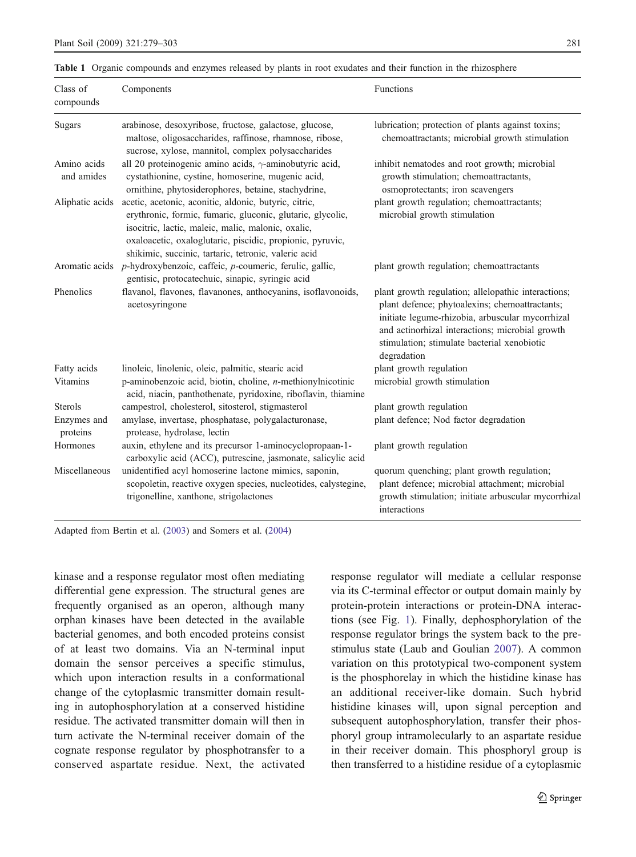<span id="page-2-0"></span>

|  |  |  | Table 1 Organic compounds and enzymes released by plants in root exudates and their function in the rhizosphere |  |  |  |  |
|--|--|--|-----------------------------------------------------------------------------------------------------------------|--|--|--|--|
|--|--|--|-----------------------------------------------------------------------------------------------------------------|--|--|--|--|

| Class of<br>compounds          | Components                                                                                                                                                                                                                                                                                     | Functions                                                                                                                                                                                                                                                                  |
|--------------------------------|------------------------------------------------------------------------------------------------------------------------------------------------------------------------------------------------------------------------------------------------------------------------------------------------|----------------------------------------------------------------------------------------------------------------------------------------------------------------------------------------------------------------------------------------------------------------------------|
| <b>Sugars</b>                  | arabinose, desoxyribose, fructose, galactose, glucose,<br>maltose, oligosaccharides, raffinose, rhamnose, ribose,<br>sucrose, xylose, mannitol, complex polysaccharides                                                                                                                        | lubrication; protection of plants against toxins;<br>chemoattractants; microbial growth stimulation                                                                                                                                                                        |
| Amino acids<br>and amides      | all 20 proteinogenic amino acids, $\gamma$ -aminobutyric acid,<br>cystathionine, cystine, homoserine, mugenic acid,<br>ornithine, phytosiderophores, betaine, stachydrine,                                                                                                                     | inhibit nematodes and root growth; microbial<br>growth stimulation; chemoattractants,<br>osmoprotectants; iron scavengers                                                                                                                                                  |
| Aliphatic acids                | acetic, acetonic, aconitic, aldonic, butyric, citric,<br>erythronic, formic, fumaric, gluconic, glutaric, glycolic,<br>isocitric, lactic, maleic, malic, malonic, oxalic,<br>oxaloacetic, oxaloglutaric, piscidic, propionic, pyruvic,<br>shikimic, succinic, tartaric, tetronic, valeric acid | plant growth regulation; chemoattractants;<br>microbial growth stimulation                                                                                                                                                                                                 |
|                                | Aromatic acids p-hydroxybenzoic, caffeic, p-coumeric, ferulic, gallic,<br>gentisic, protocatechuic, sinapic, syringic acid                                                                                                                                                                     | plant growth regulation; chemoattractants                                                                                                                                                                                                                                  |
| Phenolics                      | flavanol, flavones, flavanones, anthocyanins, isoflavonoids,<br>acetosyringone                                                                                                                                                                                                                 | plant growth regulation; allelopathic interactions;<br>plant defence; phytoalexins; chemoattractants;<br>initiate legume-rhizobia, arbuscular mycorrhizal<br>and actinorhizal interactions; microbial growth<br>stimulation; stimulate bacterial xenobiotic<br>degradation |
| Fatty acids<br><b>Vitamins</b> | linoleic, linolenic, oleic, palmitic, stearic acid<br>p-aminobenzoic acid, biotin, choline, n-methionylnicotinic<br>acid, niacin, panthothenate, pyridoxine, riboflavin, thiamine                                                                                                              | plant growth regulation<br>microbial growth stimulation                                                                                                                                                                                                                    |
| <b>Sterols</b>                 | campestrol, cholesterol, sitosterol, stigmasterol                                                                                                                                                                                                                                              | plant growth regulation                                                                                                                                                                                                                                                    |
| Enzymes and<br>proteins        | amylase, invertase, phosphatase, polygalacturonase,<br>protease, hydrolase, lectin                                                                                                                                                                                                             | plant defence; Nod factor degradation                                                                                                                                                                                                                                      |
| Hormones                       | auxin, ethylene and its precursor 1-aminocyclopropaan-1-<br>carboxylic acid (ACC), putrescine, jasmonate, salicylic acid                                                                                                                                                                       | plant growth regulation                                                                                                                                                                                                                                                    |
| Miscellaneous                  | unidentified acyl homoserine lactone mimics, saponin,<br>scopoletin, reactive oxygen species, nucleotides, calystegine,<br>trigonelline, xanthone, strigolactones                                                                                                                              | quorum quenching; plant growth regulation;<br>plant defence; microbial attachment; microbial<br>growth stimulation; initiate arbuscular mycorrhizal<br>interactions                                                                                                        |

Adapted from Bertin et al. [\(2003](#page-16-0)) and Somers et al. [\(2004](#page-22-0))

kinase and a response regulator most often mediating differential gene expression. The structural genes are frequently organised as an operon, although many orphan kinases have been detected in the available bacterial genomes, and both encoded proteins consist of at least two domains. Via an N-terminal input domain the sensor perceives a specific stimulus, which upon interaction results in a conformational change of the cytoplasmic transmitter domain resulting in autophosphorylation at a conserved histidine residue. The activated transmitter domain will then in turn activate the N-terminal receiver domain of the cognate response regulator by phosphotransfer to a conserved aspartate residue. Next, the activated response regulator will mediate a cellular response via its C-terminal effector or output domain mainly by protein-protein interactions or protein-DNA interactions (see Fig. [1](#page-3-0)). Finally, dephosphorylation of the response regulator brings the system back to the prestimulus state (Laub and Goulian [2007](#page-20-0)). A common variation on this prototypical two-component system is the phosphorelay in which the histidine kinase has an additional receiver-like domain. Such hybrid histidine kinases will, upon signal perception and subsequent autophosphorylation, transfer their phosphoryl group intramolecularly to an aspartate residue in their receiver domain. This phosphoryl group is then transferred to a histidine residue of a cytoplasmic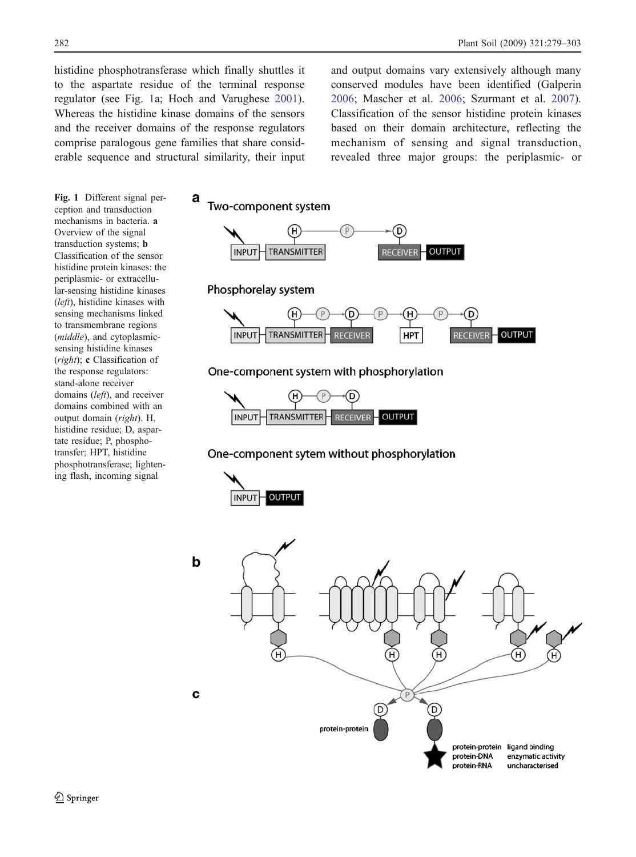<span id="page-3-0"></span>histidine phosphotransferase which finally shuttles it to the aspartate residue of the terminal response regulator (see Fig. 1a; Hoch and Varughese [2001](#page-19-0)). Whereas the histidine kinase domains of the sensors and the receiver domains of the response regulators comprise paralogous gene families that share considerable sequence and structural similarity, their input and output domains vary extensively although many conserved modules have been identified (Galperin [2006](#page-18-0); Mascher et al. [2006](#page-20-0); Szurmant et al. [2007](#page-23-0)). Classification of the sensor histidine protein kinases based on their domain architecture, reflecting the mechanism of sensing and signal transduction, revealed three major groups: the periplasmic- or

Fig. 1 Different signal perception and transduction mechanisms in bacteria. a Overview of the signal transduction systems; b Classification of the sensor histidine protein kinases: the periplasmic- or extracellular-sensing histidine kinases (left), histidine kinases with sensing mechanisms linked to transmembrane regions (middle), and cytoplasmicsensing histidine kinases (right); c Classification of the response regulators: stand-alone receiver domains (left), and receiver domains combined with an output domain (right). H, histidine residue; D, aspartate residue; P, phosphotransfer; HPT, histidine phosphotransferase; lightening flash, incoming signal



(D

protein-protein

D)

protein-protein protein-DNA

protein-RNA

ligand binding

enzymatic activity

uncharacterised

C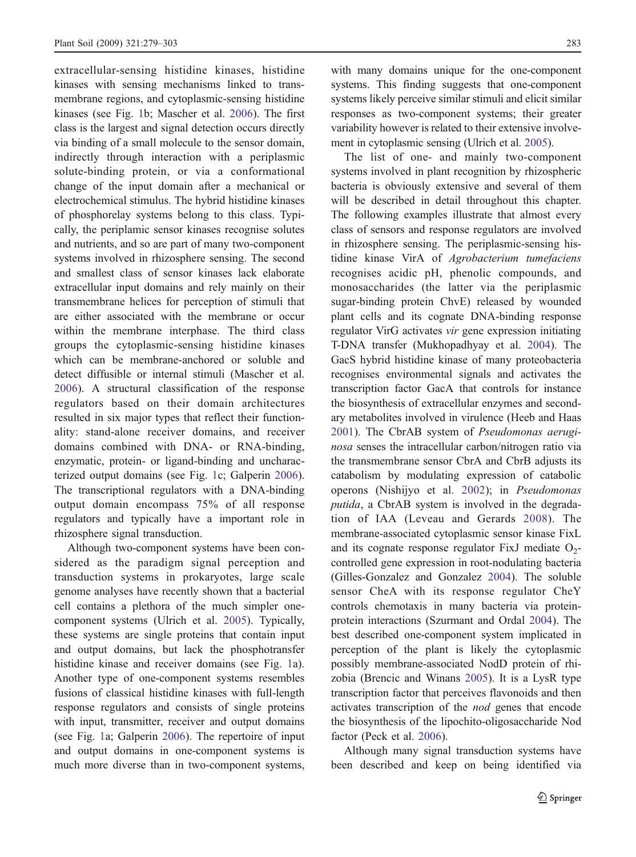extracellular-sensing histidine kinases, histidine kinases with sensing mechanisms linked to transmembrane regions, and cytoplasmic-sensing histidine kinases (see Fig. [1](#page-3-0)b; Mascher et al. [2006](#page-20-0)). The first class is the largest and signal detection occurs directly via binding of a small molecule to the sensor domain, indirectly through interaction with a periplasmic solute-binding protein, or via a conformational change of the input domain after a mechanical or electrochemical stimulus. The hybrid histidine kinases of phosphorelay systems belong to this class. Typically, the periplamic sensor kinases recognise solutes and nutrients, and so are part of many two-component systems involved in rhizosphere sensing. The second and smallest class of sensor kinases lack elaborate extracellular input domains and rely mainly on their transmembrane helices for perception of stimuli that are either associated with the membrane or occur within the membrane interphase. The third class groups the cytoplasmic-sensing histidine kinases which can be membrane-anchored or soluble and detect diffusible or internal stimuli (Mascher et al. [2006](#page-20-0)). A structural classification of the response regulators based on their domain architectures resulted in six major types that reflect their functionality: stand-alone receiver domains, and receiver domains combined with DNA- or RNA-binding, enzymatic, protein- or ligand-binding and uncharacterized output domains (see Fig. [1](#page-3-0)c; Galperin [2006](#page-18-0)). The transcriptional regulators with a DNA-binding output domain encompass 75% of all response regulators and typically have a important role in rhizosphere signal transduction.

Although two-component systems have been considered as the paradigm signal perception and transduction systems in prokaryotes, large scale genome analyses have recently shown that a bacterial cell contains a plethora of the much simpler onecomponent systems (Ulrich et al. [2005](#page-23-0)). Typically, these systems are single proteins that contain input and output domains, but lack the phosphotransfer histidine kinase and receiver domains (see Fig. [1](#page-3-0)a). Another type of one-component systems resembles fusions of classical histidine kinases with full-length response regulators and consists of single proteins with input, transmitter, receiver and output domains (see Fig. [1](#page-3-0)a; Galperin [2006](#page-18-0)). The repertoire of input and output domains in one-component systems is much more diverse than in two-component systems,

with many domains unique for the one-component systems. This finding suggests that one-component systems likely perceive similar stimuli and elicit similar responses as two-component systems; their greater variability however is related to their extensive involvement in cytoplasmic sensing (Ulrich et al. [2005](#page-23-0)).

The list of one- and mainly two-component systems involved in plant recognition by rhizospheric bacteria is obviously extensive and several of them will be described in detail throughout this chapter. The following examples illustrate that almost every class of sensors and response regulators are involved in rhizosphere sensing. The periplasmic-sensing histidine kinase VirA of Agrobacterium tumefaciens recognises acidic pH, phenolic compounds, and monosaccharides (the latter via the periplasmic sugar-binding protein ChvE) released by wounded plant cells and its cognate DNA-binding response regulator VirG activates vir gene expression initiating T-DNA transfer (Mukhopadhyay et al. [2004](#page-21-0)). The GacS hybrid histidine kinase of many proteobacteria recognises environmental signals and activates the transcription factor GacA that controls for instance the biosynthesis of extracellular enzymes and secondary metabolites involved in virulence (Heeb and Haas [2001](#page-19-0)). The CbrAB system of Pseudomonas aeruginosa senses the intracellular carbon/nitrogen ratio via the transmembrane sensor CbrA and CbrB adjusts its catabolism by modulating expression of catabolic operons (Nishijyo et al. [2002](#page-21-0)); in Pseudomonas putida, a CbrAB system is involved in the degradation of IAA (Leveau and Gerards [2008](#page-20-0)). The membrane-associated cytoplasmic sensor kinase FixL and its cognate response regulator FixJ mediate  $O<sub>2</sub>$ controlled gene expression in root-nodulating bacteria (Gilles-Gonzalez and Gonzalez [2004](#page-18-0)). The soluble sensor CheA with its response regulator CheY controls chemotaxis in many bacteria via proteinprotein interactions (Szurmant and Ordal [2004](#page-23-0)). The best described one-component system implicated in perception of the plant is likely the cytoplasmic possibly membrane-associated NodD protein of rhizobia (Brencic and Winans [2005](#page-16-0)). It is a LysR type transcription factor that perceives flavonoids and then activates transcription of the nod genes that encode the biosynthesis of the lipochito-oligosaccharide Nod factor (Peck et al. [2006](#page-21-0)).

Although many signal transduction systems have been described and keep on being identified via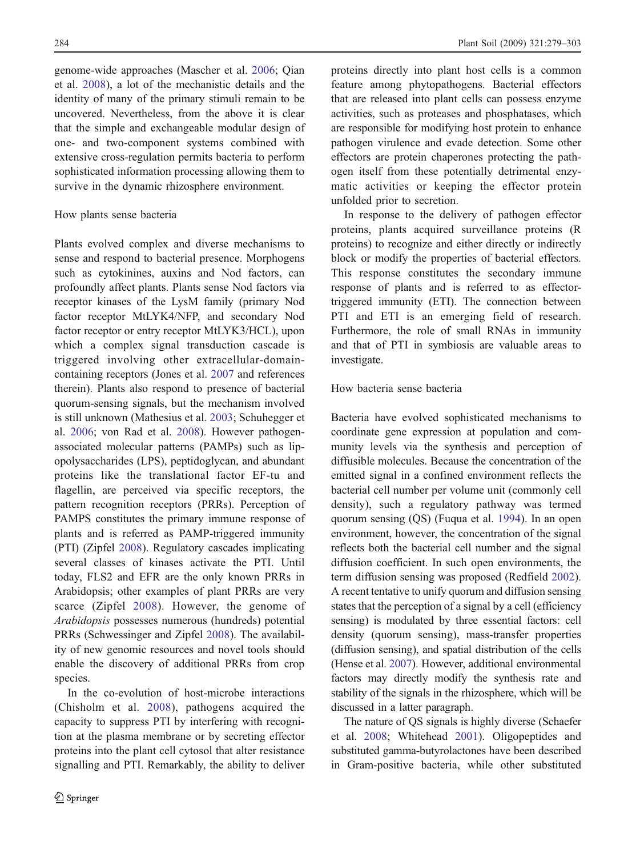genome-wide approaches (Mascher et al. [2006](#page-20-0); Qian et al. [2008](#page-21-0)), a lot of the mechanistic details and the identity of many of the primary stimuli remain to be uncovered. Nevertheless, from the above it is clear that the simple and exchangeable modular design of one- and two-component systems combined with extensive cross-regulation permits bacteria to perform sophisticated information processing allowing them to survive in the dynamic rhizosphere environment.

## How plants sense bacteria

Plants evolved complex and diverse mechanisms to sense and respond to bacterial presence. Morphogens such as cytokinines, auxins and Nod factors, can profoundly affect plants. Plants sense Nod factors via receptor kinases of the LysM family (primary Nod factor receptor MtLYK4/NFP, and secondary Nod factor receptor or entry receptor MtLYK3/HCL), upon which a complex signal transduction cascade is triggered involving other extracellular-domaincontaining receptors (Jones et al. [2007](#page-19-0) and references therein). Plants also respond to presence of bacterial quorum-sensing signals, but the mechanism involved is still unknown (Mathesius et al. [2003](#page-20-0); Schuhegger et al. [2006](#page-22-0); von Rad et al. [2008](#page-23-0)). However pathogenassociated molecular patterns (PAMPs) such as lipopolysaccharides (LPS), peptidoglycan, and abundant proteins like the translational factor EF-tu and flagellin, are perceived via specific receptors, the pattern recognition receptors (PRRs). Perception of PAMPS constitutes the primary immune response of plants and is referred as PAMP-triggered immunity (PTI) (Zipfel [2008](#page-24-0)). Regulatory cascades implicating several classes of kinases activate the PTI. Until today, FLS2 and EFR are the only known PRRs in Arabidopsis; other examples of plant PRRs are very scarce (Zipfel [2008](#page-24-0)). However, the genome of Arabidopsis possesses numerous (hundreds) potential PRRs (Schwessinger and Zipfel [2008](#page-22-0)). The availability of new genomic resources and novel tools should enable the discovery of additional PRRs from crop species.

In the co-evolution of host-microbe interactions (Chisholm et al. [2008](#page-17-0)), pathogens acquired the capacity to suppress PTI by interfering with recognition at the plasma membrane or by secreting effector proteins into the plant cell cytosol that alter resistance signalling and PTI. Remarkably, the ability to deliver proteins directly into plant host cells is a common feature among phytopathogens. Bacterial effectors that are released into plant cells can possess enzyme activities, such as proteases and phosphatases, which are responsible for modifying host protein to enhance pathogen virulence and evade detection. Some other effectors are protein chaperones protecting the pathogen itself from these potentially detrimental enzymatic activities or keeping the effector protein unfolded prior to secretion.

In response to the delivery of pathogen effector proteins, plants acquired surveillance proteins (R proteins) to recognize and either directly or indirectly block or modify the properties of bacterial effectors. This response constitutes the secondary immune response of plants and is referred to as effectortriggered immunity (ETI). The connection between PTI and ETI is an emerging field of research. Furthermore, the role of small RNAs in immunity and that of PTI in symbiosis are valuable areas to investigate.

# How bacteria sense bacteria

Bacteria have evolved sophisticated mechanisms to coordinate gene expression at population and community levels via the synthesis and perception of diffusible molecules. Because the concentration of the emitted signal in a confined environment reflects the bacterial cell number per volume unit (commonly cell density), such a regulatory pathway was termed quorum sensing (QS) (Fuqua et al. [1994](#page-18-0)). In an open environment, however, the concentration of the signal reflects both the bacterial cell number and the signal diffusion coefficient. In such open environments, the term diffusion sensing was proposed (Redfield [2002](#page-22-0)). A recent tentative to unify quorum and diffusion sensing states that the perception of a signal by a cell (efficiency sensing) is modulated by three essential factors: cell density (quorum sensing), mass-transfer properties (diffusion sensing), and spatial distribution of the cells (Hense et al. [2007](#page-19-0)). However, additional environmental factors may directly modify the synthesis rate and stability of the signals in the rhizosphere, which will be discussed in a latter paragraph.

The nature of QS signals is highly diverse (Schaefer et al. [2008](#page-22-0); Whitehead [2001](#page-24-0)). Oligopeptides and substituted gamma-butyrolactones have been described in Gram-positive bacteria, while other substituted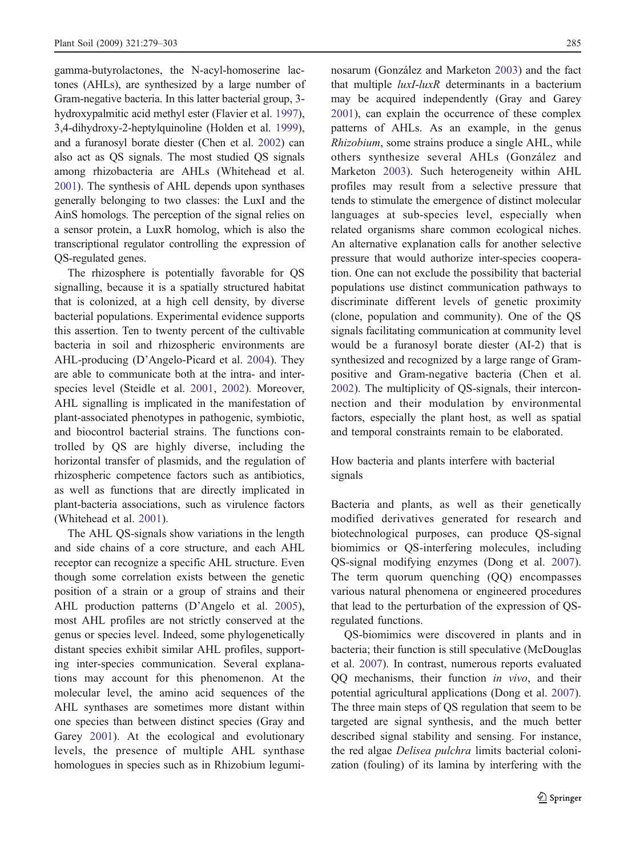gamma-butyrolactones, the N-acyl-homoserine lactones (AHLs), are synthesized by a large number of Gram-negative bacteria. In this latter bacterial group, 3 hydroxypalmitic acid methyl ester (Flavier et al. [1997](#page-18-0)), 3,4-dihydroxy-2-heptylquinoline (Holden et al. [1999](#page-19-0)), and a furanosyl borate diester (Chen et al. [2002](#page-17-0)) can also act as QS signals. The most studied QS signals among rhizobacteria are AHLs (Whitehead et al. [2001](#page-24-0)). The synthesis of AHL depends upon synthases generally belonging to two classes: the LuxI and the AinS homologs. The perception of the signal relies on a sensor protein, a LuxR homolog, which is also the transcriptional regulator controlling the expression of QS-regulated genes.

The rhizosphere is potentially favorable for QS signalling, because it is a spatially structured habitat that is colonized, at a high cell density, by diverse bacterial populations. Experimental evidence supports this assertion. Ten to twenty percent of the cultivable bacteria in soil and rhizospheric environments are AHL-producing (D'Angelo-Picard et al. [2004](#page-17-0)). They are able to communicate both at the intra- and interspecies level (Steidle et al. [2001](#page-23-0), [2002](#page-23-0)). Moreover, AHL signalling is implicated in the manifestation of plant-associated phenotypes in pathogenic, symbiotic, and biocontrol bacterial strains. The functions controlled by QS are highly diverse, including the horizontal transfer of plasmids, and the regulation of rhizospheric competence factors such as antibiotics, as well as functions that are directly implicated in plant-bacteria associations, such as virulence factors (Whitehead et al. [2001](#page-24-0)).

The AHL QS-signals show variations in the length and side chains of a core structure, and each AHL receptor can recognize a specific AHL structure. Even though some correlation exists between the genetic position of a strain or a group of strains and their AHL production patterns (D'Angelo et al. [2005](#page-17-0)), most AHL profiles are not strictly conserved at the genus or species level. Indeed, some phylogenetically distant species exhibit similar AHL profiles, supporting inter-species communication. Several explanations may account for this phenomenon. At the molecular level, the amino acid sequences of the AHL synthases are sometimes more distant within one species than between distinct species (Gray and Garey [2001](#page-19-0)). At the ecological and evolutionary levels, the presence of multiple AHL synthase homologues in species such as in Rhizobium leguminosarum (González and Marketon [2003](#page-18-0)) and the fact that multiple  $luxI$ - $luxR$  determinants in a bacterium may be acquired independently (Gray and Garey [2001](#page-19-0)), can explain the occurrence of these complex patterns of AHLs. As an example, in the genus Rhizobium, some strains produce a single AHL, while others synthesize several AHLs (González and Marketon [2003](#page-18-0)). Such heterogeneity within AHL profiles may result from a selective pressure that tends to stimulate the emergence of distinct molecular languages at sub-species level, especially when related organisms share common ecological niches. An alternative explanation calls for another selective pressure that would authorize inter-species cooperation. One can not exclude the possibility that bacterial populations use distinct communication pathways to discriminate different levels of genetic proximity (clone, population and community). One of the QS signals facilitating communication at community level would be a furanosyl borate diester (AI-2) that is synthesized and recognized by a large range of Grampositive and Gram-negative bacteria (Chen et al. [2002](#page-17-0)). The multiplicity of QS-signals, their interconnection and their modulation by environmental factors, especially the plant host, as well as spatial and temporal constraints remain to be elaborated.

How bacteria and plants interfere with bacterial signals

Bacteria and plants, as well as their genetically modified derivatives generated for research and biotechnological purposes, can produce QS-signal biomimics or QS-interfering molecules, including QS-signal modifying enzymes (Dong et al. [2007](#page-18-0)). The term quorum quenching (QQ) encompasses various natural phenomena or engineered procedures that lead to the perturbation of the expression of QSregulated functions.

QS-biomimics were discovered in plants and in bacteria; their function is still speculative (McDouglas et al. [2007](#page-20-0)). In contrast, numerous reports evaluated QQ mechanisms, their function in vivo, and their potential agricultural applications (Dong et al. [2007](#page-18-0)). The three main steps of QS regulation that seem to be targeted are signal synthesis, and the much better described signal stability and sensing. For instance, the red algae Delisea pulchra limits bacterial colonization (fouling) of its lamina by interfering with the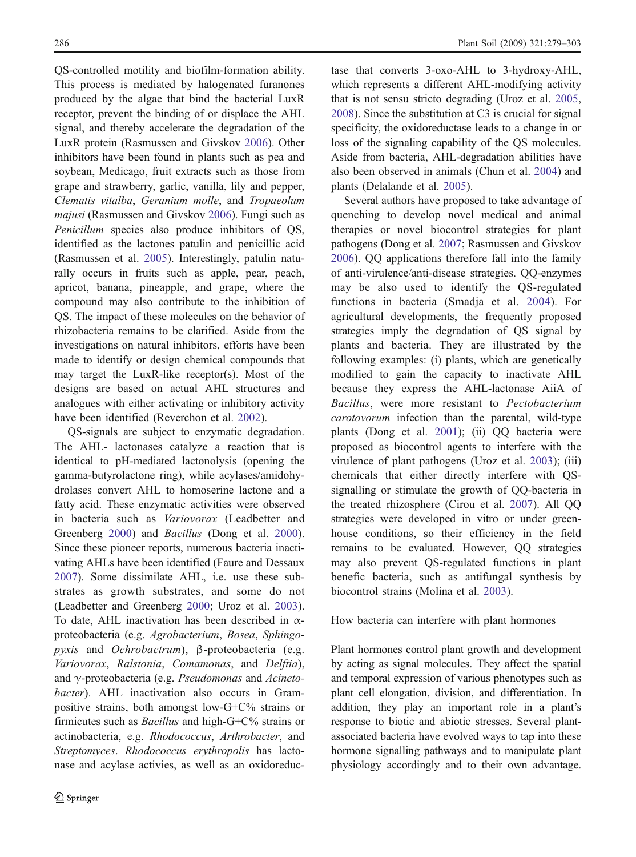QS-controlled motility and biofilm-formation ability. This process is mediated by halogenated furanones produced by the algae that bind the bacterial LuxR receptor, prevent the binding of or displace the AHL signal, and thereby accelerate the degradation of the LuxR protein (Rasmussen and Givskov [2006](#page-21-0)). Other inhibitors have been found in plants such as pea and soybean, Medicago, fruit extracts such as those from grape and strawberry, garlic, vanilla, lily and pepper, Clematis vitalba, Geranium molle, and Tropaeolum majusi (Rasmussen and Givskov [2006](#page-21-0)). Fungi such as Penicillum species also produce inhibitors of QS, identified as the lactones patulin and penicillic acid (Rasmussen et al. [2005](#page-21-0)). Interestingly, patulin naturally occurs in fruits such as apple, pear, peach, apricot, banana, pineapple, and grape, where the compound may also contribute to the inhibition of QS. The impact of these molecules on the behavior of rhizobacteria remains to be clarified. Aside from the investigations on natural inhibitors, efforts have been made to identify or design chemical compounds that may target the LuxR-like receptor(s). Most of the designs are based on actual AHL structures and analogues with either activating or inhibitory activity have been identified (Reverchon et al. [2002](#page-22-0)).

QS-signals are subject to enzymatic degradation. The AHL- lactonases catalyze a reaction that is identical to pH-mediated lactonolysis (opening the gamma-butyrolactone ring), while acylases/amidohydrolases convert AHL to homoserine lactone and a fatty acid. These enzymatic activities were observed in bacteria such as Variovorax (Leadbetter and Greenberg [2000](#page-20-0)) and Bacillus (Dong et al. [2000](#page-18-0)). Since these pioneer reports, numerous bacteria inactivating AHLs have been identified (Faure and Dessaux [2007](#page-18-0)). Some dissimilate AHL, i.e. use these substrates as growth substrates, and some do not (Leadbetter and Greenberg [2000](#page-20-0); Uroz et al. [2003](#page-23-0)). To date, AHL inactivation has been described in  $\alpha$ proteobacteria (e.g. Agrobacterium, Bosea, Sphingopyxis and Ochrobactrum), β-proteobacteria (e.g. Variovorax, Ralstonia, Comamonas, and Delftia), and γ-proteobacteria (e.g. Pseudomonas and Acinetobacter). AHL inactivation also occurs in Grampositive strains, both amongst low-G+C% strains or firmicutes such as Bacillus and high-G+C% strains or actinobacteria, e.g. Rhodococcus, Arthrobacter, and Streptomyces. Rhodococcus erythropolis has lactonase and acylase activies, as well as an oxidoreductase that converts 3-oxo-AHL to 3-hydroxy-AHL, which represents a different AHL-modifying activity that is not sensu stricto degrading (Uroz et al. [2005](#page-23-0), [2008](#page-23-0)). Since the substitution at C3 is crucial for signal specificity, the oxidoreductase leads to a change in or loss of the signaling capability of the QS molecules. Aside from bacteria, AHL-degradation abilities have also been observed in animals (Chun et al. [2004](#page-17-0)) and plants (Delalande et al. [2005](#page-17-0)).

Several authors have proposed to take advantage of quenching to develop novel medical and animal therapies or novel biocontrol strategies for plant pathogens (Dong et al. [2007](#page-18-0); Rasmussen and Givskov [2006](#page-21-0)). QQ applications therefore fall into the family of anti-virulence/anti-disease strategies. QQ-enzymes may be also used to identify the QS-regulated functions in bacteria (Smadja et al. [2004](#page-22-0)). For agricultural developments, the frequently proposed strategies imply the degradation of QS signal by plants and bacteria. They are illustrated by the following examples: (i) plants, which are genetically modified to gain the capacity to inactivate AHL because they express the AHL-lactonase AiiA of Bacillus, were more resistant to Pectobacterium carotovorum infection than the parental, wild-type plants (Dong et al. [2001](#page-18-0)); (ii) QQ bacteria were proposed as biocontrol agents to interfere with the virulence of plant pathogens (Uroz et al. [2003](#page-23-0)); (iii) chemicals that either directly interfere with QSsignalling or stimulate the growth of QQ-bacteria in the treated rhizosphere (Cirou et al. [2007](#page-17-0)). All QQ strategies were developed in vitro or under greenhouse conditions, so their efficiency in the field remains to be evaluated. However, QQ strategies may also prevent QS-regulated functions in plant benefic bacteria, such as antifungal synthesis by biocontrol strains (Molina et al. [2003](#page-21-0)).

## How bacteria can interfere with plant hormones

Plant hormones control plant growth and development by acting as signal molecules. They affect the spatial and temporal expression of various phenotypes such as plant cell elongation, division, and differentiation. In addition, they play an important role in a plant's response to biotic and abiotic stresses. Several plantassociated bacteria have evolved ways to tap into these hormone signalling pathways and to manipulate plant physiology accordingly and to their own advantage.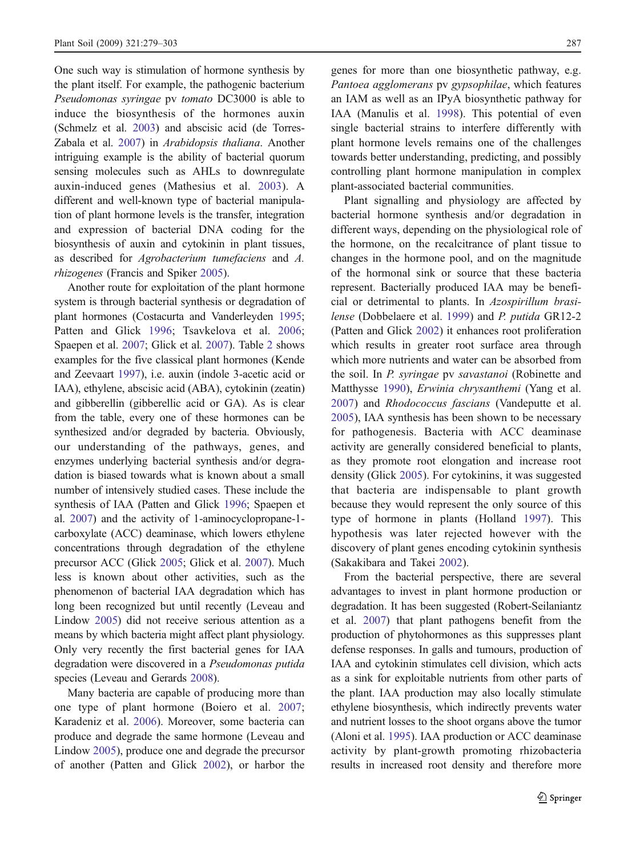One such way is stimulation of hormone synthesis by the plant itself. For example, the pathogenic bacterium Pseudomonas syringae pv tomato DC3000 is able to induce the biosynthesis of the hormones auxin (Schmelz et al. [2003](#page-22-0)) and abscisic acid (de Torres-Zabala et al. [2007](#page-17-0)) in Arabidopsis thaliana. Another intriguing example is the ability of bacterial quorum sensing molecules such as AHLs to downregulate auxin-induced genes (Mathesius et al. [2003](#page-20-0)). A different and well-known type of bacterial manipulation of plant hormone levels is the transfer, integration and expression of bacterial DNA coding for the biosynthesis of auxin and cytokinin in plant tissues, as described for Agrobacterium tumefaciens and A. rhizogenes (Francis and Spiker [2005](#page-18-0)).

Another route for exploitation of the plant hormone system is through bacterial synthesis or degradation of plant hormones (Costacurta and Vanderleyden [1995](#page-17-0); Patten and Glick [1996](#page-21-0); Tsavkelova et al. [2006](#page-23-0); Spaepen et al. [2007](#page-22-0); Glick et al. [2007](#page-18-0)). Table [2](#page-9-0) shows examples for the five classical plant hormones (Kende and Zeevaart [1997](#page-19-0)), i.e. auxin (indole 3-acetic acid or IAA), ethylene, abscisic acid (ABA), cytokinin (zeatin) and gibberellin (gibberellic acid or GA). As is clear from the table, every one of these hormones can be synthesized and/or degraded by bacteria. Obviously, our understanding of the pathways, genes, and enzymes underlying bacterial synthesis and/or degradation is biased towards what is known about a small number of intensively studied cases. These include the synthesis of IAA (Patten and Glick [1996](#page-21-0); Spaepen et al. [2007](#page-22-0)) and the activity of 1-aminocyclopropane-1 carboxylate (ACC) deaminase, which lowers ethylene concentrations through degradation of the ethylene precursor ACC (Glick [2005](#page-18-0); Glick et al. [2007](#page-18-0)). Much less is known about other activities, such as the phenomenon of bacterial IAA degradation which has long been recognized but until recently (Leveau and Lindow [2005](#page-20-0)) did not receive serious attention as a means by which bacteria might affect plant physiology. Only very recently the first bacterial genes for IAA degradation were discovered in a Pseudomonas putida species (Leveau and Gerards [2008](#page-20-0)).

Many bacteria are capable of producing more than one type of plant hormone (Boiero et al. [2007](#page-16-0); Karadeniz et al. [2006](#page-19-0)). Moreover, some bacteria can produce and degrade the same hormone (Leveau and Lindow [2005](#page-20-0)), produce one and degrade the precursor of another (Patten and Glick [2002](#page-21-0)), or harbor the

genes for more than one biosynthetic pathway, e.g. Pantoea agglomerans pv gypsophilae, which features an IAM as well as an IPyA biosynthetic pathway for IAA (Manulis et al. [1998](#page-20-0)). This potential of even single bacterial strains to interfere differently with plant hormone levels remains one of the challenges towards better understanding, predicting, and possibly controlling plant hormone manipulation in complex plant-associated bacterial communities.

Plant signalling and physiology are affected by bacterial hormone synthesis and/or degradation in different ways, depending on the physiological role of the hormone, on the recalcitrance of plant tissue to changes in the hormone pool, and on the magnitude of the hormonal sink or source that these bacteria represent. Bacterially produced IAA may be beneficial or detrimental to plants. In Azospirillum brasilense (Dobbelaere et al. [1999](#page-18-0)) and P. putida GR12-2 (Patten and Glick [2002](#page-21-0)) it enhances root proliferation which results in greater root surface area through which more nutrients and water can be absorbed from the soil. In P. syringae pv savastanoi (Robinette and Matthysse [1990](#page-22-0)), Erwinia chrysanthemi (Yang et al. [2007](#page-24-0)) and Rhodococcus fascians (Vandeputte et al. [2005](#page-23-0)), IAA synthesis has been shown to be necessary for pathogenesis. Bacteria with ACC deaminase activity are generally considered beneficial to plants, as they promote root elongation and increase root density (Glick [2005](#page-18-0)). For cytokinins, it was suggested that bacteria are indispensable to plant growth because they would represent the only source of this type of hormone in plants (Holland [1997](#page-19-0)). This hypothesis was later rejected however with the discovery of plant genes encoding cytokinin synthesis (Sakakibara and Takei [2002](#page-22-0)).

From the bacterial perspective, there are several advantages to invest in plant hormone production or degradation. It has been suggested (Robert-Seilaniantz et al. [2007](#page-22-0)) that plant pathogens benefit from the production of phytohormones as this suppresses plant defense responses. In galls and tumours, production of IAA and cytokinin stimulates cell division, which acts as a sink for exploitable nutrients from other parts of the plant. IAA production may also locally stimulate ethylene biosynthesis, which indirectly prevents water and nutrient losses to the shoot organs above the tumor (Aloni et al. [1995](#page-16-0)). IAA production or ACC deaminase activity by plant-growth promoting rhizobacteria results in increased root density and therefore more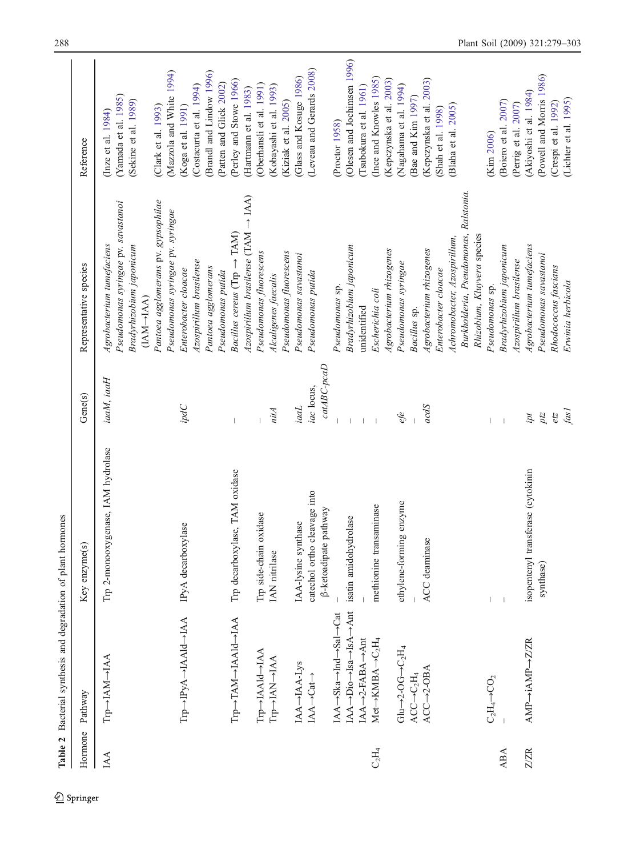<span id="page-9-0"></span>

|                 | Hormone Pathway                                                              | Key enzyme(s)                      | Gene(s)           | Representative species                                                                                                 | Reference                                                          |
|-----------------|------------------------------------------------------------------------------|------------------------------------|-------------------|------------------------------------------------------------------------------------------------------------------------|--------------------------------------------------------------------|
| IAA             | Trp-HAM-HAA                                                                  | Trp 2-monooxygenase, IAM hydrolase | iaaM, iaaH        | Pseudomonas syringae pv. savastanoi<br>Agrobacterium tumefaciens<br>Bradyrhizobium japonicum<br>$(AM \rightarrow IAA)$ | (Yamada et al. 1985)<br>(Sekine et al. 1989)<br>(Inze et al. 1984) |
|                 |                                                                              |                                    |                   | Pantoea agglomerans pv. gypsophilae<br>Pseudomonas syringae pv. syringae                                               | (Mazzola and White 1994)<br>(Clark et al. 1993)                    |
|                 | $Trp \rightarrow IPyA \rightarrow IAAId \rightarrow IAA$                     | decarboxylase<br>PyA               | ipdC              | Azospirillum brasilense<br>Enterobacter cloacae                                                                        | (Costacurta et al. 1994)<br>(Koga et al. 1991)                     |
|                 |                                                                              |                                    |                   | Pantoea agglomerans<br>Pseudomonas putida                                                                              | (Brandl and Lindow 1996)<br>(Patten and Glick 2002)                |
|                 | Trp-+TAM-+IAAld-+IAA                                                         | Trp decarboxylase, TAM oxidase     | $\overline{1}$    | Bacillus cereus (Trp $\rightarrow$ TAM)                                                                                | (Perley and Stowe 1966)                                            |
|                 |                                                                              |                                    |                   | $A$ zospirillum brasilense (TAM $\rightarrow$ IAA)                                                                     | (Hartmann et al. 1983)                                             |
|                 | Trp-IAAld-IAA                                                                | Trp side-chain oxidase             |                   | Pseudomonas fluorescens                                                                                                | (Oberhansli et al. 1991)                                           |
|                 | Trp-IAN-IAA                                                                  | IAN nitrilase                      | nitA              | Alcaligenes faecalis                                                                                                   | Kobayashi et al. 1993)                                             |
|                 |                                                                              |                                    |                   | Pseudomonas fluorescens                                                                                                | Kiziak et al. 2005)                                                |
|                 | $IAA\rightarrow IAA\text{-}Lys$                                              | IAA-lysine synthase                | iaaL              | Pseudomonas savastanoi                                                                                                 | (Glass and Kosuge 1986)                                            |
|                 | $IAA \rightarrow Cat \rightarrow$                                            | catechol ortho cleavage into       | iac locus,        | Pseudomonas putida                                                                                                     | (Leveau and Gerards 2008)                                          |
|                 |                                                                              | ß-ketoadipate pathway              | $catABC$ -pca $D$ |                                                                                                                        |                                                                    |
|                 | $IAA \rightarrow Ska \rightarrow Ind \rightarrow Sal \rightarrow Cat$        |                                    |                   | Pseudomonas sp.                                                                                                        | Proctor 1958)                                                      |
|                 | $IAA \rightarrow Di\ddot{o} \rightarrow Isa \rightarrow IsA \rightarrow Ant$ | isatin amidohydrolase              |                   | Bradyrhizobium japonicum                                                                                               | (Olesen and Jochimsen 1996)                                        |
|                 | $IAA \rightarrow 2$ -FABA $\rightarrow$ Ant                                  |                                    |                   | unidentified                                                                                                           | (Tsubokura et al. 1961)                                            |
| $C_2H_4$        | $Met \rightarrow KMBA \rightarrow C_2H_4$                                    | methionine transaminase            |                   | Escherichia coli                                                                                                       | (Ince and Knowles 1985)                                            |
|                 |                                                                              |                                    |                   | Agrobacterium rhizogenes                                                                                               | (Kepczynska et al. 2003)                                           |
|                 | $Glu \rightarrow 2-OG \rightarrow C_2H_4$                                    | ethylene-forming enzyme            | efe               | Pseudomonas syringae                                                                                                   | (Nagahama et al. 1994)                                             |
|                 | $ACC \rightarrow C_2H_4$                                                     |                                    |                   | Bacillus sp.                                                                                                           | (Bae and Kim 1997)                                                 |
|                 | $ACC\rightarrow 2-OBA$                                                       | deaminase<br>ACC c                 | acdS              | Agrobacterium rhizogenes                                                                                               | 2003)<br>(Kepczynska et al.                                        |
|                 |                                                                              |                                    |                   | Enterobacter cloacae                                                                                                   | (Shah et al. 1998)                                                 |
|                 |                                                                              |                                    |                   | Achromobacter, Azospirillum,                                                                                           | (Blaha et al. 2005)                                                |
|                 |                                                                              |                                    |                   | Burkholderia, Pseudomonas, Ralstonia.                                                                                  |                                                                    |
|                 |                                                                              |                                    |                   | Rhizobium, Kluyvera species                                                                                            |                                                                    |
|                 | $\rm C_2H_4{\rightarrow}CO_2$                                                |                                    |                   | Pseudomonas sp.                                                                                                        | (Kim 2006)                                                         |
| <b>ABA</b>      |                                                                              |                                    |                   | Bradyrhizobium japonicum                                                                                               | (Boiero et al. 2007)                                               |
|                 |                                                                              |                                    |                   | Azospirillum brasilense                                                                                                | (Perrig et al. 2007)                                               |
| $Z/\mathbb{Z}R$ | AMP-iAMP-Z/ZR                                                                | isopentenyl transferase (cytokinin | jdi               | Agrobacterium tumefaciens                                                                                              | (Akiyoshi et al. 1984)                                             |
|                 |                                                                              | synthase)                          | $ptz$             | Pseudomonas savastanoi                                                                                                 | (Powell and Morris 1986)                                           |
|                 |                                                                              |                                    | $et\overline{z}$  | Rhodococcus fascians                                                                                                   | (Crespi et al. 1992)                                               |
|                 |                                                                              |                                    | fasl              | Erwinia herbicola                                                                                                      | (Lichter et al. 1995)                                              |

Table 2 Bacterial synthesis and degradation of plant hormones Table 2 Bacterial synthesis and degradation of plant hormones

 $\underline{\textcircled{\tiny 2}}$  Springer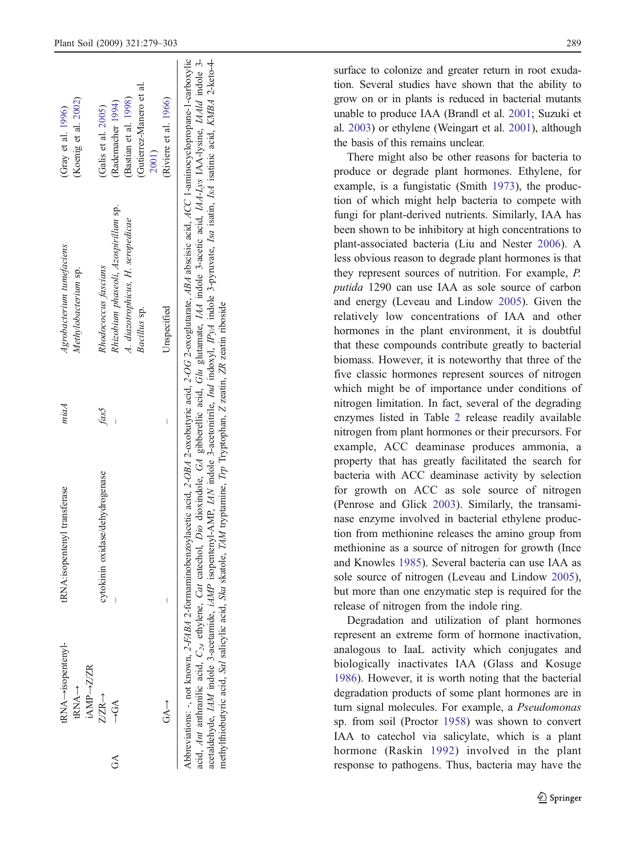| (Koenig et al. 2002)<br>(Gray et al. 1996)        | (Gutierrez-Manero et al.<br>(Riviere et al. 1966)<br>(Bastian et al. 1998)<br>(Rademacher 1994)<br>(Galis et al. 2005)<br>2001)  |                                                                                                                                                                                                                                                                                                                                                                                                                                                                                                                                                |
|---------------------------------------------------|----------------------------------------------------------------------------------------------------------------------------------|------------------------------------------------------------------------------------------------------------------------------------------------------------------------------------------------------------------------------------------------------------------------------------------------------------------------------------------------------------------------------------------------------------------------------------------------------------------------------------------------------------------------------------------------|
|                                                   |                                                                                                                                  |                                                                                                                                                                                                                                                                                                                                                                                                                                                                                                                                                |
| Agrobacterium tumefaciens<br>Methylobacterium sp. | Rhizobium phaseoli, Azospirillum sp.<br>A. diazotrophicus, H. seropedicae<br>Rhodococcus fascians<br>Unspecified<br>Bacillus sp. | ucid, Ant anthranilic acid, C <sub>24</sub> ethylene, Cat catechol, Dio dioxindole, GA gibberellic acid, Glu glutamate, IAA indole 3-acetic acid, IAA-Lys IAA-lysine, IAAId indole 3-<br>acetaldehyde, IAM indole 3-acetamide, iAMP isopentenyl-AMP, IAM indole 3-acetonitrile, Ind indoxyl, IPyA indole 3-pyruvate, Isa isatin, Isa isatinic acid, KMBA 2-keto-4-<br>Abbreviations: -, not known, 2-FABA 2-formaminobenzoylacetic acid, 2-OBA 2-oxobutyric acid, 2-OG 2-oxoglutarate, ABA abscisic acid, ACC 1-aminocyclopropane-1-carboxylic |
| miaA                                              | fas5                                                                                                                             |                                                                                                                                                                                                                                                                                                                                                                                                                                                                                                                                                |
| tRNA:isopentenyl transferase                      | cytokinin oxidase/dehydrogenase                                                                                                  | methylthiobutyric acid, Sal salicylic acid, Ska skatole, TAM tryptamine, Trp Tryptophan, Z zeatin, ZR zeatin riboside                                                                                                                                                                                                                                                                                                                                                                                                                          |
| tRNA-isopentenyl-<br>iAMP→Z/ZR<br>tRNA→           | $Z/ZR \rightarrow$<br>$\overrightarrow{G}$<br>$\rightarrow$ GA<br>$\mathbb{G}\Delta$                                             |                                                                                                                                                                                                                                                                                                                                                                                                                                                                                                                                                |

surface to colonize and greater return in root exudation. Several studies have shown that the ability to grow on or in plants is reduced in bacterial mutants unable to produce IAA (Brandl et al. [2001](#page-16-0); Suzuki et al. [2003](#page-23-0)) or ethylene (Weingart et al. [2001](#page-24-0)), although the basis of this remains unclear.

There might also be other reasons for bacteria to produce or degrade plant hormones. Ethylene, for example, is a fungistatic (Smith [1973](#page-22-0)), the production of which might help bacteria to compete with fungi for plant-derived nutrients. Similarly, IAA has been shown to be inhibitory at high concentrations to plant-associated bacteria (Liu and Nester [2006](#page-20-0)). A less obvious reason to degrade plant hormones is that they represent sources of nutrition. For example, P. putida 1290 can use IAA as sole source of carbon and energy (Leveau and Lindow [2005](#page-20-0)). Given the relatively low concentrations of IAA and other hormones in the plant environment, it is doubtful that these compounds contribute greatly to bacterial biomass. However, it is noteworthy that three of the five classic hormones represent sources of nitrogen which might be of importance under conditions of nitrogen limitation. In fact, several of the degrading enzymes listed in Table [2](#page-9-0) release readily available nitrogen from plant hormones or their precursors. For example, ACC deaminase produces ammonia, a property that has greatly facilitated the search for bacteria with ACC deaminase activity by selection for growth on ACC as sole source of nitrogen (Penrose and Glick [2003](#page-21-0)). Similarly, the transaminase enzyme involved in bacterial ethylene production from methionine releases the amino group from methionine as a source of nitrogen for growth (Ince and Knowles [1985](#page-19-0)). Several bacteria can use IAA as sole source of nitrogen (Leveau and Lindow [2005](#page-20-0)), but more than one enzymatic step is required for the release of nitrogen from the indole ring.

Degradation and utilization of plant hormones represent an extreme form of hormone inactivation, analogous to IaaL activity which conjugates and biologically inactivates IAA (Glass and Kosuge [1986](#page-18-0)). However, it is worth noting that the bacterial degradation products of some plant hormones are in turn signal molecules. For example, a Pseudomonas sp. from soil (Proctor [1958](#page-21-0)) was shown to convert IAA to catechol via salicylate, which is a plant hormone (Raskin [1992](#page-21-0)) involved in the plant response to pathogens. Thus, bacteria may have the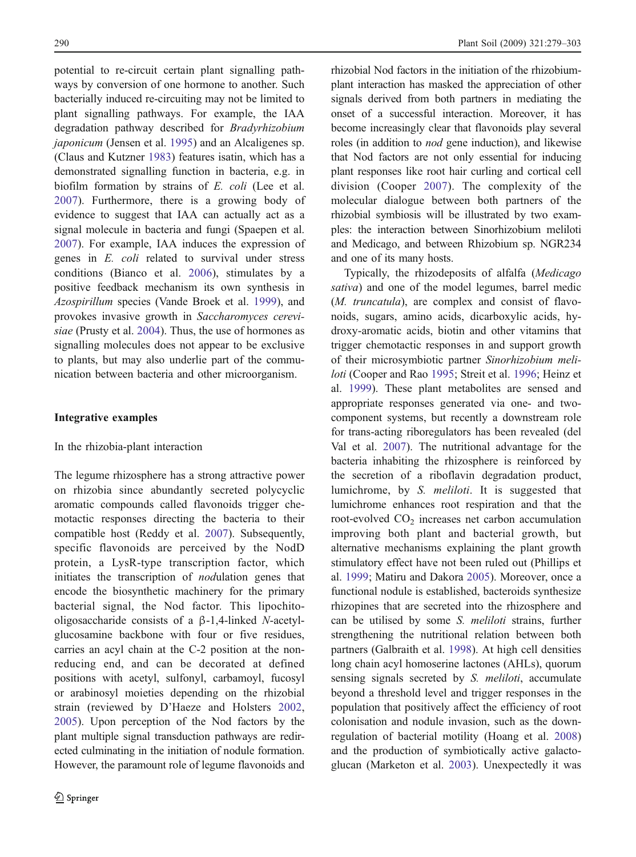potential to re-circuit certain plant signalling pathways by conversion of one hormone to another. Such bacterially induced re-circuiting may not be limited to plant signalling pathways. For example, the IAA degradation pathway described for Bradyrhizobium japonicum (Jensen et al. [1995](#page-19-0)) and an Alcaligenes sp. (Claus and Kutzner [1983](#page-17-0)) features isatin, which has a demonstrated signalling function in bacteria, e.g. in biofilm formation by strains of E. coli (Lee et al. [2007](#page-20-0)). Furthermore, there is a growing body of evidence to suggest that IAA can actually act as a signal molecule in bacteria and fungi (Spaepen et al. [2007](#page-22-0)). For example, IAA induces the expression of genes in E. coli related to survival under stress conditions (Bianco et al. [2006](#page-16-0)), stimulates by a positive feedback mechanism its own synthesis in Azospirillum species (Vande Broek et al. [1999](#page-23-0)), and provokes invasive growth in Saccharomyces cerevisiae (Prusty et al. [2004](#page-21-0)). Thus, the use of hormones as signalling molecules does not appear to be exclusive to plants, but may also underlie part of the communication between bacteria and other microorganism.

#### Integrative examples

# In the rhizobia-plant interaction

The legume rhizosphere has a strong attractive power on rhizobia since abundantly secreted polycyclic aromatic compounds called flavonoids trigger chemotactic responses directing the bacteria to their compatible host (Reddy et al. [2007](#page-22-0)). Subsequently, specific flavonoids are perceived by the NodD protein, a LysR-type transcription factor, which initiates the transcription of nodulation genes that encode the biosynthetic machinery for the primary bacterial signal, the Nod factor. This lipochitooligosaccharide consists of a β-1,4-linked N-acetylglucosamine backbone with four or five residues, carries an acyl chain at the C-2 position at the nonreducing end, and can be decorated at defined positions with acetyl, sulfonyl, carbamoyl, fucosyl or arabinosyl moieties depending on the rhizobial strain (reviewed by D'Haeze and Holsters [2002](#page-17-0), [2005](#page-17-0)). Upon perception of the Nod factors by the plant multiple signal transduction pathways are redirected culminating in the initiation of nodule formation. However, the paramount role of legume flavonoids and rhizobial Nod factors in the initiation of the rhizobiumplant interaction has masked the appreciation of other signals derived from both partners in mediating the onset of a successful interaction. Moreover, it has become increasingly clear that flavonoids play several roles (in addition to nod gene induction), and likewise that Nod factors are not only essential for inducing plant responses like root hair curling and cortical cell division (Cooper [2007](#page-17-0)). The complexity of the molecular dialogue between both partners of the rhizobial symbiosis will be illustrated by two examples: the interaction between Sinorhizobium meliloti and Medicago, and between Rhizobium sp. NGR234 and one of its many hosts.

Typically, the rhizodeposits of alfalfa (Medicago sativa) and one of the model legumes, barrel medic (M. truncatula), are complex and consist of flavonoids, sugars, amino acids, dicarboxylic acids, hydroxy-aromatic acids, biotin and other vitamins that trigger chemotactic responses in and support growth of their microsymbiotic partner Sinorhizobium meliloti (Cooper and Rao [1995](#page-17-0); Streit et al. [1996](#page-23-0); Heinz et al. [1999](#page-19-0)). These plant metabolites are sensed and appropriate responses generated via one- and twocomponent systems, but recently a downstream role for trans-acting riboregulators has been revealed (del Val et al. [2007](#page-17-0)). The nutritional advantage for the bacteria inhabiting the rhizosphere is reinforced by the secretion of a riboflavin degradation product, lumichrome, by S. meliloti. It is suggested that lumichrome enhances root respiration and that the root-evolved  $CO<sub>2</sub>$  increases net carbon accumulation improving both plant and bacterial growth, but alternative mechanisms explaining the plant growth stimulatory effect have not been ruled out (Phillips et al. [1999](#page-21-0); Matiru and Dakora [2005](#page-20-0)). Moreover, once a functional nodule is established, bacteroids synthesize rhizopines that are secreted into the rhizosphere and can be utilised by some S. meliloti strains, further strengthening the nutritional relation between both partners (Galbraith et al. [1998](#page-18-0)). At high cell densities long chain acyl homoserine lactones (AHLs), quorum sensing signals secreted by S. *meliloti*, accumulate beyond a threshold level and trigger responses in the population that positively affect the efficiency of root colonisation and nodule invasion, such as the downregulation of bacterial motility (Hoang et al. [2008](#page-19-0)) and the production of symbiotically active galactoglucan (Marketon et al. [2003](#page-20-0)). Unexpectedly it was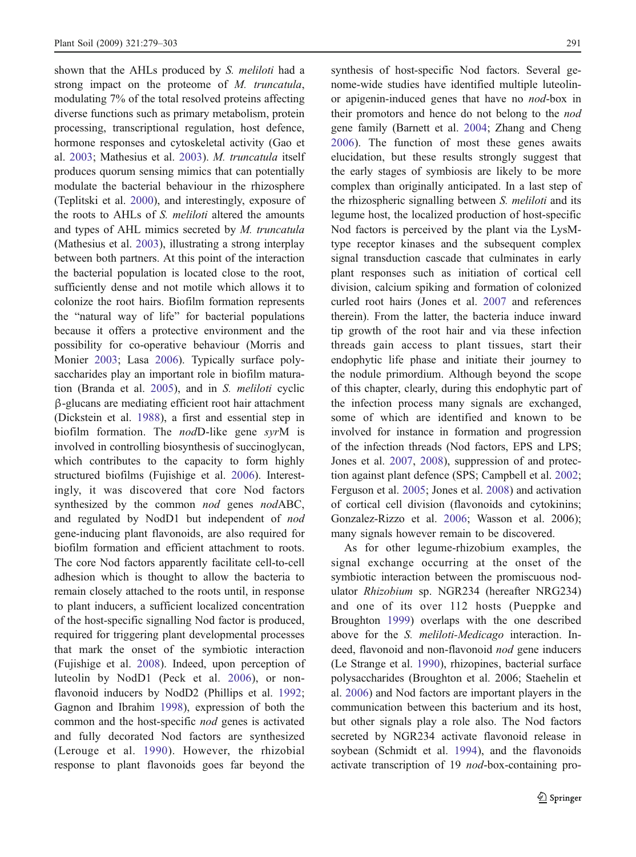shown that the AHLs produced by S. meliloti had a strong impact on the proteome of M. truncatula, modulating 7% of the total resolved proteins affecting diverse functions such as primary metabolism, protein processing, transcriptional regulation, host defence, hormone responses and cytoskeletal activity (Gao et al. [2003](#page-18-0); Mathesius et al. [2003](#page-20-0)). M. truncatula itself produces quorum sensing mimics that can potentially modulate the bacterial behaviour in the rhizosphere (Teplitski et al. [2000](#page-23-0)), and interestingly, exposure of the roots to AHLs of S. meliloti altered the amounts and types of AHL mimics secreted by M. truncatula (Mathesius et al. [2003](#page-20-0)), illustrating a strong interplay between both partners. At this point of the interaction the bacterial population is located close to the root, sufficiently dense and not motile which allows it to colonize the root hairs. Biofilm formation represents the "natural way of life" for bacterial populations because it offers a protective environment and the possibility for co-operative behaviour (Morris and Monier [2003](#page-21-0); Lasa [2006](#page-20-0)). Typically surface polysaccharides play an important role in biofilm maturation (Branda et al. [2005](#page-16-0)), and in S. meliloti cyclic β-glucans are mediating efficient root hair attachment (Dickstein et al. [1988](#page-17-0)), a first and essential step in biofilm formation. The nodD-like gene syrM is involved in controlling biosynthesis of succinoglycan, which contributes to the capacity to form highly structured biofilms (Fujishige et al. [2006](#page-18-0)). Interestingly, it was discovered that core Nod factors synthesized by the common *nod* genes *nodABC*, and regulated by NodD1 but independent of nod gene-inducing plant flavonoids, are also required for biofilm formation and efficient attachment to roots. The core Nod factors apparently facilitate cell-to-cell adhesion which is thought to allow the bacteria to remain closely attached to the roots until, in response to plant inducers, a sufficient localized concentration of the host-specific signalling Nod factor is produced, required for triggering plant developmental processes that mark the onset of the symbiotic interaction (Fujishige et al. [2008](#page-18-0)). Indeed, upon perception of luteolin by NodD1 (Peck et al. [2006](#page-21-0)), or nonflavonoid inducers by NodD2 (Phillips et al. [1992](#page-21-0); Gagnon and Ibrahim [1998](#page-18-0)), expression of both the common and the host-specific nod genes is activated and fully decorated Nod factors are synthesized (Lerouge et al. [1990](#page-20-0)). However, the rhizobial response to plant flavonoids goes far beyond the

synthesis of host-specific Nod factors. Several genome-wide studies have identified multiple luteolinor apigenin-induced genes that have no nod-box in their promotors and hence do not belong to the nod gene family (Barnett et al. [2004](#page-16-0); Zhang and Cheng [2006](#page-24-0)). The function of most these genes awaits elucidation, but these results strongly suggest that the early stages of symbiosis are likely to be more complex than originally anticipated. In a last step of the rhizospheric signalling between S. meliloti and its legume host, the localized production of host-specific Nod factors is perceived by the plant via the LysMtype receptor kinases and the subsequent complex signal transduction cascade that culminates in early plant responses such as initiation of cortical cell division, calcium spiking and formation of colonized curled root hairs (Jones et al. [2007](#page-19-0) and references therein). From the latter, the bacteria induce inward tip growth of the root hair and via these infection threads gain access to plant tissues, start their endophytic life phase and initiate their journey to the nodule primordium. Although beyond the scope of this chapter, clearly, during this endophytic part of the infection process many signals are exchanged, some of which are identified and known to be involved for instance in formation and progression of the infection threads (Nod factors, EPS and LPS; Jones et al. [2007](#page-19-0), [2008](#page-19-0)), suppression of and protection against plant defence (SPS; Campbell et al. [2002](#page-16-0); Ferguson et al. [2005](#page-18-0); Jones et al. [2008](#page-19-0)) and activation of cortical cell division (flavonoids and cytokinins; Gonzalez-Rizzo et al. [2006](#page-18-0); Wasson et al. 2006); many signals however remain to be discovered.

As for other legume-rhizobium examples, the signal exchange occurring at the onset of the symbiotic interaction between the promiscuous nodulator Rhizobium sp. NGR234 (hereafter NRG234) and one of its over 112 hosts (Pueppke and Broughton [1999](#page-21-0)) overlaps with the one described above for the S. meliloti-Medicago interaction. Indeed, flavonoid and non-flavonoid nod gene inducers (Le Strange et al. [1990](#page-20-0)), rhizopines, bacterial surface polysaccharides (Broughton et al. 2006; Staehelin et al. [2006](#page-23-0)) and Nod factors are important players in the communication between this bacterium and its host, but other signals play a role also. The Nod factors secreted by NGR234 activate flavonoid release in soybean (Schmidt et al. [1994](#page-22-0)), and the flavonoids activate transcription of 19 nod-box-containing pro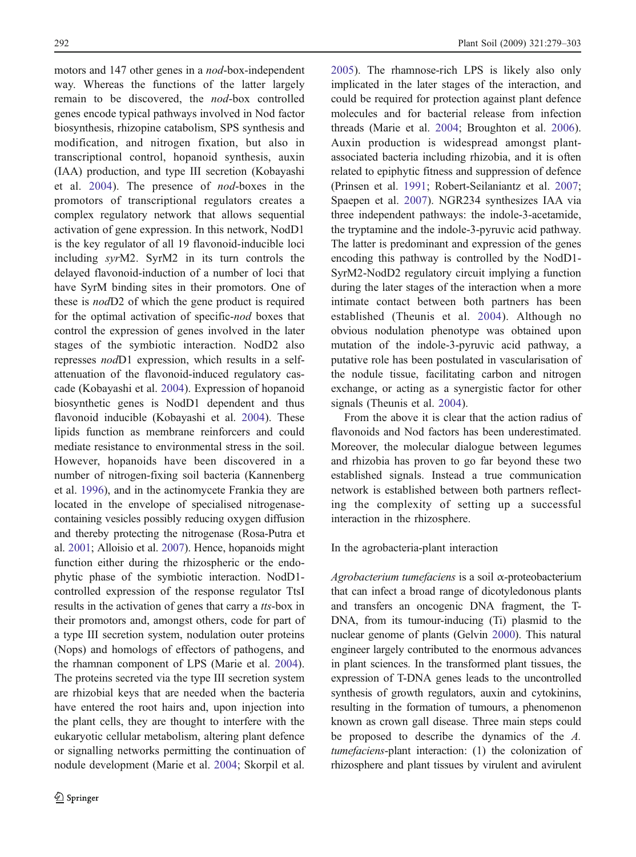motors and 147 other genes in a *nod*-box-independent way. Whereas the functions of the latter largely remain to be discovered, the nod-box controlled genes encode typical pathways involved in Nod factor biosynthesis, rhizopine catabolism, SPS synthesis and modification, and nitrogen fixation, but also in transcriptional control, hopanoid synthesis, auxin (IAA) production, and type III secretion (Kobayashi et al. [2004](#page-19-0)). The presence of nod-boxes in the promotors of transcriptional regulators creates a complex regulatory network that allows sequential activation of gene expression. In this network, NodD1 is the key regulator of all 19 flavonoid-inducible loci including syrM2. SyrM2 in its turn controls the delayed flavonoid-induction of a number of loci that have SyrM binding sites in their promotors. One of these is nodD2 of which the gene product is required for the optimal activation of specific-nod boxes that control the expression of genes involved in the later stages of the symbiotic interaction. NodD2 also represses nodD1 expression, which results in a selfattenuation of the flavonoid-induced regulatory cascade (Kobayashi et al. [2004](#page-19-0)). Expression of hopanoid biosynthetic genes is NodD1 dependent and thus flavonoid inducible (Kobayashi et al. [2004](#page-19-0)). These lipids function as membrane reinforcers and could mediate resistance to environmental stress in the soil. However, hopanoids have been discovered in a number of nitrogen-fixing soil bacteria (Kannenberg et al. [1996](#page-19-0)), and in the actinomycete Frankia they are located in the envelope of specialised nitrogenasecontaining vesicles possibly reducing oxygen diffusion and thereby protecting the nitrogenase (Rosa-Putra et al. [2001](#page-22-0); Alloisio et al. [2007](#page-16-0)). Hence, hopanoids might function either during the rhizospheric or the endophytic phase of the symbiotic interaction. NodD1 controlled expression of the response regulator TtsI results in the activation of genes that carry a tts-box in their promotors and, amongst others, code for part of a type III secretion system, nodulation outer proteins (Nops) and homologs of effectors of pathogens, and the rhamnan component of LPS (Marie et al. [2004](#page-20-0)). The proteins secreted via the type III secretion system are rhizobial keys that are needed when the bacteria have entered the root hairs and, upon injection into the plant cells, they are thought to interfere with the eukaryotic cellular metabolism, altering plant defence or signalling networks permitting the continuation of nodule development (Marie et al. [2004](#page-20-0); Skorpil et al.

[2005](#page-22-0)). The rhamnose-rich LPS is likely also only implicated in the later stages of the interaction, and could be required for protection against plant defence molecules and for bacterial release from infection threads (Marie et al. [2004](#page-20-0); Broughton et al. [2006](#page-16-0)). Auxin production is widespread amongst plantassociated bacteria including rhizobia, and it is often related to epiphytic fitness and suppression of defence (Prinsen et al. [1991](#page-21-0); Robert-Seilaniantz et al. [2007](#page-22-0); Spaepen et al. [2007](#page-22-0)). NGR234 synthesizes IAA via three independent pathways: the indole-3-acetamide, the tryptamine and the indole-3-pyruvic acid pathway. The latter is predominant and expression of the genes encoding this pathway is controlled by the NodD1- SyrM2-NodD2 regulatory circuit implying a function during the later stages of the interaction when a more intimate contact between both partners has been established (Theunis et al. [2004](#page-23-0)). Although no obvious nodulation phenotype was obtained upon mutation of the indole-3-pyruvic acid pathway, a putative role has been postulated in vascularisation of the nodule tissue, facilitating carbon and nitrogen exchange, or acting as a synergistic factor for other signals (Theunis et al. [2004](#page-23-0)).

From the above it is clear that the action radius of flavonoids and Nod factors has been underestimated. Moreover, the molecular dialogue between legumes and rhizobia has proven to go far beyond these two established signals. Instead a true communication network is established between both partners reflecting the complexity of setting up a successful interaction in the rhizosphere.

#### In the agrobacteria-plant interaction

Agrobacterium tumefaciens is a soil α-proteobacterium that can infect a broad range of dicotyledonous plants and transfers an oncogenic DNA fragment, the T-DNA, from its tumour-inducing (Ti) plasmid to the nuclear genome of plants (Gelvin [2000](#page-18-0)). This natural engineer largely contributed to the enormous advances in plant sciences. In the transformed plant tissues, the expression of T-DNA genes leads to the uncontrolled synthesis of growth regulators, auxin and cytokinins, resulting in the formation of tumours, a phenomenon known as crown gall disease. Three main steps could be proposed to describe the dynamics of the A. tumefaciens-plant interaction: (1) the colonization of rhizosphere and plant tissues by virulent and avirulent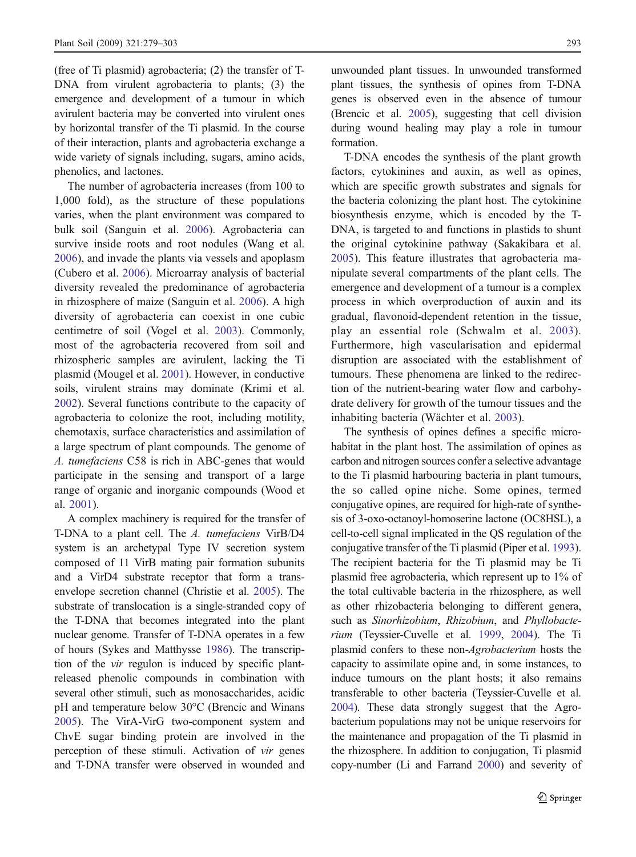(free of Ti plasmid) agrobacteria; (2) the transfer of T-DNA from virulent agrobacteria to plants; (3) the emergence and development of a tumour in which avirulent bacteria may be converted into virulent ones by horizontal transfer of the Ti plasmid. In the course of their interaction, plants and agrobacteria exchange a wide variety of signals including, sugars, amino acids, phenolics, and lactones.

The number of agrobacteria increases (from 100 to 1,000 fold), as the structure of these populations varies, when the plant environment was compared to bulk soil (Sanguin et al. [2006](#page-22-0)). Agrobacteria can survive inside roots and root nodules (Wang et al. [2006](#page-23-0)), and invade the plants via vessels and apoplasm (Cubero et al. [2006](#page-17-0)). Microarray analysis of bacterial diversity revealed the predominance of agrobacteria in rhizosphere of maize (Sanguin et al. [2006](#page-22-0)). A high diversity of agrobacteria can coexist in one cubic centimetre of soil (Vogel et al. [2003](#page-23-0)). Commonly, most of the agrobacteria recovered from soil and rhizospheric samples are avirulent, lacking the Ti plasmid (Mougel et al. [2001](#page-21-0)). However, in conductive soils, virulent strains may dominate (Krimi et al. [2002](#page-20-0)). Several functions contribute to the capacity of agrobacteria to colonize the root, including motility, chemotaxis, surface characteristics and assimilation of a large spectrum of plant compounds. The genome of A. tumefaciens C58 is rich in ABC-genes that would participate in the sensing and transport of a large range of organic and inorganic compounds (Wood et al. [2001](#page-24-0)).

A complex machinery is required for the transfer of T-DNA to a plant cell. The A. tumefaciens VirB/D4 system is an archetypal Type IV secretion system composed of 11 VirB mating pair formation subunits and a VirD4 substrate receptor that form a transenvelope secretion channel (Christie et al. [2005](#page-17-0)). The substrate of translocation is a single-stranded copy of the T-DNA that becomes integrated into the plant nuclear genome. Transfer of T-DNA operates in a few of hours (Sykes and Matthysse [1986](#page-23-0)). The transcription of the vir regulon is induced by specific plantreleased phenolic compounds in combination with several other stimuli, such as monosaccharides, acidic pH and temperature below 30°C (Brencic and Winans [2005](#page-16-0)). The VirA-VirG two-component system and ChvE sugar binding protein are involved in the perception of these stimuli. Activation of vir genes and T-DNA transfer were observed in wounded and

unwounded plant tissues. In unwounded transformed plant tissues, the synthesis of opines from T-DNA genes is observed even in the absence of tumour (Brencic et al. [2005](#page-16-0)), suggesting that cell division during wound healing may play a role in tumour formation.

T-DNA encodes the synthesis of the plant growth factors, cytokinines and auxin, as well as opines, which are specific growth substrates and signals for the bacteria colonizing the plant host. The cytokinine biosynthesis enzyme, which is encoded by the T-DNA, is targeted to and functions in plastids to shunt the original cytokinine pathway (Sakakibara et al. [2005](#page-22-0)). This feature illustrates that agrobacteria manipulate several compartments of the plant cells. The emergence and development of a tumour is a complex process in which overproduction of auxin and its gradual, flavonoid-dependent retention in the tissue, play an essential role (Schwalm et al. [2003](#page-22-0)). Furthermore, high vascularisation and epidermal disruption are associated with the establishment of tumours. These phenomena are linked to the redirection of the nutrient-bearing water flow and carbohydrate delivery for growth of the tumour tissues and the inhabiting bacteria (Wächter et al. [2003](#page-23-0)).

The synthesis of opines defines a specific microhabitat in the plant host. The assimilation of opines as carbon and nitrogen sources confer a selective advantage to the Ti plasmid harbouring bacteria in plant tumours, the so called opine niche. Some opines, termed conjugative opines, are required for high-rate of synthesis of 3-oxo-octanoyl-homoserine lactone (OC8HSL), a cell-to-cell signal implicated in the QS regulation of the conjugative transfer of the Ti plasmid (Piper et al. [1993](#page-21-0)). The recipient bacteria for the Ti plasmid may be Ti plasmid free agrobacteria, which represent up to 1% of the total cultivable bacteria in the rhizosphere, as well as other rhizobacteria belonging to different genera, such as Sinorhizobium, Rhizobium, and Phyllobacterium (Teyssier-Cuvelle et al. [1999](#page-23-0), [2004](#page-23-0)). The Ti plasmid confers to these non-Agrobacterium hosts the capacity to assimilate opine and, in some instances, to induce tumours on the plant hosts; it also remains transferable to other bacteria (Teyssier-Cuvelle et al. [2004](#page-23-0)). These data strongly suggest that the Agrobacterium populations may not be unique reservoirs for the maintenance and propagation of the Ti plasmid in the rhizosphere. In addition to conjugation, Ti plasmid copy-number (Li and Farrand [2000](#page-20-0)) and severity of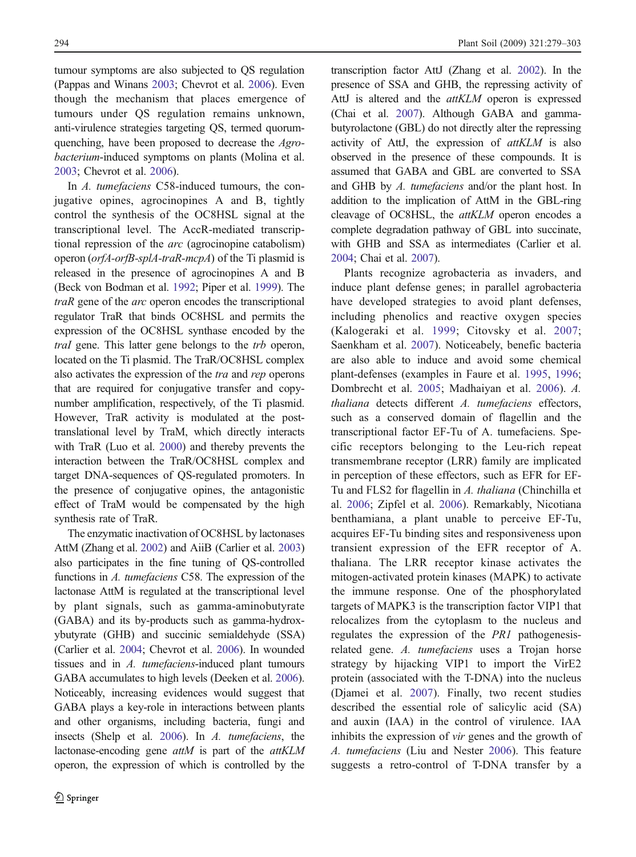tumour symptoms are also subjected to QS regulation (Pappas and Winans [2003](#page-21-0); Chevrot et al. [2006](#page-17-0)). Even though the mechanism that places emergence of tumours under QS regulation remains unknown, anti-virulence strategies targeting QS, termed quorumquenching, have been proposed to decrease the Agrobacterium-induced symptoms on plants (Molina et al. [2003](#page-21-0); Chevrot et al. [2006](#page-17-0)).

In A. tumefaciens C58-induced tumours, the conjugative opines, agrocinopines A and B, tightly control the synthesis of the OC8HSL signal at the transcriptional level. The AccR-mediated transcriptional repression of the arc (agrocinopine catabolism) operon (orfA-orfB-splA-traR-mcpA) of the Ti plasmid is released in the presence of agrocinopines A and B (Beck von Bodman et al. [1992](#page-16-0); Piper et al. [1999](#page-21-0)). The traR gene of the arc operon encodes the transcriptional regulator TraR that binds OC8HSL and permits the expression of the OC8HSL synthase encoded by the traI gene. This latter gene belongs to the trb operon, located on the Ti plasmid. The TraR/OC8HSL complex also activates the expression of the tra and rep operons that are required for conjugative transfer and copynumber amplification, respectively, of the Ti plasmid. However, TraR activity is modulated at the posttranslational level by TraM, which directly interacts with TraR (Luo et al. [2000](#page-20-0)) and thereby prevents the interaction between the TraR/OC8HSL complex and target DNA-sequences of QS-regulated promoters. In the presence of conjugative opines, the antagonistic effect of TraM would be compensated by the high synthesis rate of TraR.

The enzymatic inactivation of OC8HSL by lactonases AttM (Zhang et al. [2002](#page-24-0)) and AiiB (Carlier et al. [2003](#page-16-0)) also participates in the fine tuning of QS-controlled functions in A. tumefaciens C58. The expression of the lactonase AttM is regulated at the transcriptional level by plant signals, such as gamma-aminobutyrate (GABA) and its by-products such as gamma-hydroxybutyrate (GHB) and succinic semialdehyde (SSA) (Carlier et al. [2004](#page-17-0); Chevrot et al. [2006](#page-17-0)). In wounded tissues and in A. tumefaciens-induced plant tumours GABA accumulates to high levels (Deeken et al. [2006](#page-17-0)). Noticeably, increasing evidences would suggest that GABA plays a key-role in interactions between plants and other organisms, including bacteria, fungi and insects (Shelp et al. [2006](#page-22-0)). In A. tumefaciens, the lactonase-encoding gene *attM* is part of the *attKLM* operon, the expression of which is controlled by the transcription factor AttJ (Zhang et al. [2002](#page-24-0)). In the presence of SSA and GHB, the repressing activity of AttJ is altered and the *attKLM* operon is expressed (Chai et al. [2007](#page-17-0)). Although GABA and gammabutyrolactone (GBL) do not directly alter the repressing activity of AttJ, the expression of attKLM is also observed in the presence of these compounds. It is assumed that GABA and GBL are converted to SSA and GHB by A. tumefaciens and/or the plant host. In addition to the implication of AttM in the GBL-ring cleavage of OC8HSL, the attKLM operon encodes a complete degradation pathway of GBL into succinate, with GHB and SSA as intermediates (Carlier et al. [2004](#page-17-0); Chai et al. [2007](#page-17-0)).

Plants recognize agrobacteria as invaders, and induce plant defense genes; in parallel agrobacteria have developed strategies to avoid plant defenses, including phenolics and reactive oxygen species (Kalogeraki et al. [1999](#page-19-0); Citovsky et al. [2007](#page-17-0); Saenkham et al. [2007](#page-22-0)). Noticeabely, benefic bacteria are also able to induce and avoid some chemical plant-defenses (examples in Faure et al. [1995](#page-18-0), [1996](#page-18-0); Dombrecht et al. [2005](#page-18-0); Madhaiyan et al. [2006](#page-20-0)). A. thaliana detects different A. tumefaciens effectors, such as a conserved domain of flagellin and the transcriptional factor EF-Tu of A. tumefaciens. Specific receptors belonging to the Leu-rich repeat transmembrane receptor (LRR) family are implicated in perception of these effectors, such as EFR for EF-Tu and FLS2 for flagellin in A. thaliana (Chinchilla et al. [2006](#page-17-0); Zipfel et al. [2006](#page-24-0)). Remarkably, Nicotiana benthamiana, a plant unable to perceive EF-Tu, acquires EF-Tu binding sites and responsiveness upon transient expression of the EFR receptor of A. thaliana. The LRR receptor kinase activates the mitogen-activated protein kinases (MAPK) to activate the immune response. One of the phosphorylated targets of MAPK3 is the transcription factor VIP1 that relocalizes from the cytoplasm to the nucleus and regulates the expression of the PR1 pathogenesisrelated gene. A. tumefaciens uses a Trojan horse strategy by hijacking VIP1 to import the VirE2 protein (associated with the T-DNA) into the nucleus (Djamei et al. [2007](#page-17-0)). Finally, two recent studies described the essential role of salicylic acid (SA) and auxin (IAA) in the control of virulence. IAA inhibits the expression of vir genes and the growth of A. tumefaciens (Liu and Nester [2006](#page-20-0)). This feature suggests a retro-control of T-DNA transfer by a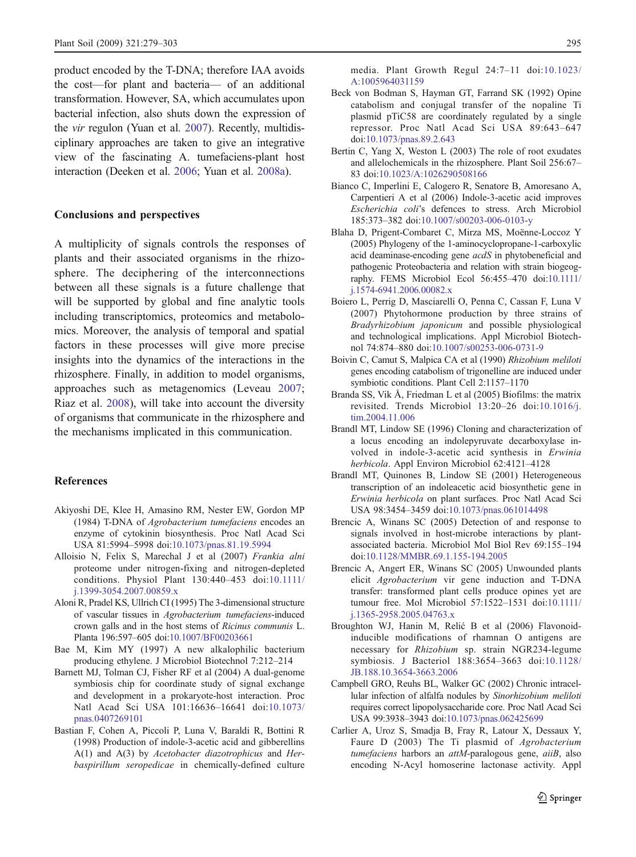<span id="page-16-0"></span>product encoded by the T-DNA; therefore IAA avoids the cost—for plant and bacteria— of an additional transformation. However, SA, which accumulates upon bacterial infection, also shuts down the expression of the vir regulon (Yuan et al. [2007](#page-24-0)). Recently, multidisciplinary approaches are taken to give an integrative view of the fascinating A. tumefaciens-plant host interaction (Deeken et al. [2006](#page-17-0); Yuan et al. [2008a](#page-24-0)).

#### Conclusions and perspectives

A multiplicity of signals controls the responses of plants and their associated organisms in the rhizosphere. The deciphering of the interconnections between all these signals is a future challenge that will be supported by global and fine analytic tools including transcriptomics, proteomics and metabolomics. Moreover, the analysis of temporal and spatial factors in these processes will give more precise insights into the dynamics of the interactions in the rhizosphere. Finally, in addition to model organisms, approaches such as metagenomics (Leveau [2007](#page-20-0); Riaz et al. [2008](#page-22-0)), will take into account the diversity of organisms that communicate in the rhizosphere and the mechanisms implicated in this communication.

### References

- Akiyoshi DE, Klee H, Amasino RM, Nester EW, Gordon MP (1984) T-DNA of Agrobacterium tumefaciens encodes an enzyme of cytokinin biosynthesis. Proc Natl Acad Sci USA 81:5994–5998 do[i:10.1073/pnas.81.19.5994](dx.doi.org/10.1073/pnas.81.19.5994)
- Alloisio N, Felix S, Marechal J et al (2007) Frankia alni proteome under nitrogen-fixing and nitrogen-depleted conditions. Physiol Plant 130:440–453 doi[:10.1111](dx.doi.org/10.1111/j.1399-3054.2007.00859.x)/ [j.1399-3054.2007.00859.x](dx.doi.org/10.1111/j.1399-3054.2007.00859.x)
- Aloni R, Pradel KS, Ullrich CI (1995) The 3-dimensional structure of vascular tissues in Agrobacterium tumefaciens-induced crown galls and in the host stems of Ricinus communis L. Planta 196:597–605 do[i:10.1007/BF00203661](dx.doi.org/10.1007/BF00203661)
- Bae M, Kim MY (1997) A new alkalophilic bacterium producing ethylene. J Microbiol Biotechnol 7:212–214
- Barnett MJ, Tolman CJ, Fisher RF et al (2004) A dual-genome symbiosis chip for coordinate study of signal exchange and development in a prokaryote-host interaction. Proc Natl Acad Sci USA 101:16636–16641 do[i:10.1073](dx.doi.org/10.1073/pnas.0407269101)/ [pnas.0407269101](dx.doi.org/10.1073/pnas.0407269101)
- Bastian F, Cohen A, Piccoli P, Luna V, Baraldi R, Bottini R (1998) Production of indole-3-acetic acid and gibberellins A(1) and A(3) by Acetobacter diazotrophicus and Herbaspirillum seropedicae in chemically-defined culture

media. Plant Growth Regul 24:7–11 doi[:10.1023/](dx.doi.org/10.1023/A:1005964031159) [A:1005964031159](dx.doi.org/10.1023/A:1005964031159)

- Beck von Bodman S, Hayman GT, Farrand SK (1992) Opine catabolism and conjugal transfer of the nopaline Ti plasmid pTiC58 are coordinately regulated by a single repressor. Proc Natl Acad Sci USA 89:643–647 do[i:10.1073/pnas.89.2.643](dx.doi.org/10.1073/pnas.89.2.643)
- Bertin C, Yang X, Weston L (2003) The role of root exudates and allelochemicals in the rhizosphere. Plant Soil 256:67– 83 do[i:10.1023/A:1026290508166](dx.doi.org/10.1023/A:1026290508166)
- Bianco C, Imperlini E, Calogero R, Senatore B, Amoresano A, Carpentieri A et al (2006) Indole-3-acetic acid improves Escherichia coli's defences to stress. Arch Microbiol 185:373–382 do[i:10.1007/s00203-006-0103-y](dx.doi.org/10.1007/s00203-006-0103-y)
- Blaha D, Prigent-Combaret C, Mirza MS, Moënne-Loccoz Y (2005) Phylogeny of the 1-aminocyclopropane-1-carboxylic acid deaminase-encoding gene acdS in phytobeneficial and pathogenic Proteobacteria and relation with strain biogeography. FEMS Microbiol Ecol 56:455–470 do[i:10.1111](dx.doi.org/10.1111/j.1574-6941.2006.00082.x)/ [j.1574-6941.2006.00082.x](dx.doi.org/10.1111/j.1574-6941.2006.00082.x)
- Boiero L, Perrig D, Masciarelli O, Penna C, Cassan F, Luna V (2007) Phytohormone production by three strains of Bradyrhizobium japonicum and possible physiological and technological implications. Appl Microbiol Biotechnol 74:874–880 do[i:10.1007/s00253-006-0731-9](dx.doi.org/10.1007/s00253-006-0731-9)
- Boivin C, Camut S, Malpica CA et al (1990) Rhizobium meliloti genes encoding catabolism of trigonelline are induced under symbiotic conditions. Plant Cell 2:1157–1170
- Branda SS, Vik Å, Friedman L et al (2005) Biofilms: the matrix revisited. Trends Microbiol 13:20–26 do[i:10.1016/j.](dx.doi.org/10.1016/j.tim.2004.11.006) [tim.2004.11.006](dx.doi.org/10.1016/j.tim.2004.11.006)
- Brandl MT, Lindow SE (1996) Cloning and characterization of a locus encoding an indolepyruvate decarboxylase involved in indole-3-acetic acid synthesis in Erwinia herbicola. Appl Environ Microbiol 62:4121–4128
- Brandl MT, Quinones B, Lindow SE (2001) Heterogeneous transcription of an indoleacetic acid biosynthetic gene in Erwinia herbicola on plant surfaces. Proc Natl Acad Sci USA 98:3454–3459 do[i:10.1073/pnas.061014498](dx.doi.org/10.1073/pnas.061014498)
- Brencic A, Winans SC (2005) Detection of and response to signals involved in host-microbe interactions by plantassociated bacteria. Microbiol Mol Biol Rev 69:155–194 do[i:10.1128/MMBR.69.1.155-194.2005](dx.doi.org/10.1128/MMBR.69.1.155-194.2005)
- Brencic A, Angert ER, Winans SC (2005) Unwounded plants elicit Agrobacterium vir gene induction and T-DNA transfer: transformed plant cells produce opines yet are tumour free. Mol Microbiol 57:1522–1531 do[i:10.1111](dx.doi.org/10.1111/j.1365-2958.2005.04763.x)/ [j.1365-2958.2005.04763.x](dx.doi.org/10.1111/j.1365-2958.2005.04763.x)
- Broughton WJ, Hanin M, Relić B et al (2006) Flavonoidinducible modifications of rhamnan O antigens are necessary for Rhizobium sp. strain NGR234-legume symbiosis. J Bacteriol 188:3654–3663 do[i:10.1128/](dx.doi.org/10.1128/JB.188.10.3654-3663.2006) [JB.188.10.3654-3663.2006](dx.doi.org/10.1128/JB.188.10.3654-3663.2006)
- Campbell GRO, Reuhs BL, Walker GC (2002) Chronic intracellular infection of alfalfa nodules by Sinorhizobium meliloti requires correct lipopolysaccharide core. Proc Natl Acad Sci USA 99:3938–3943 do[i:10.1073/pnas.062425699](dx.doi.org/10.1073/pnas.062425699)
- Carlier A, Uroz S, Smadja B, Fray R, Latour X, Dessaux Y, Faure D (2003) The Ti plasmid of Agrobacterium tumefaciens harbors an attM-paralogous gene, aiiB, also encoding N-Acyl homoserine lactonase activity. Appl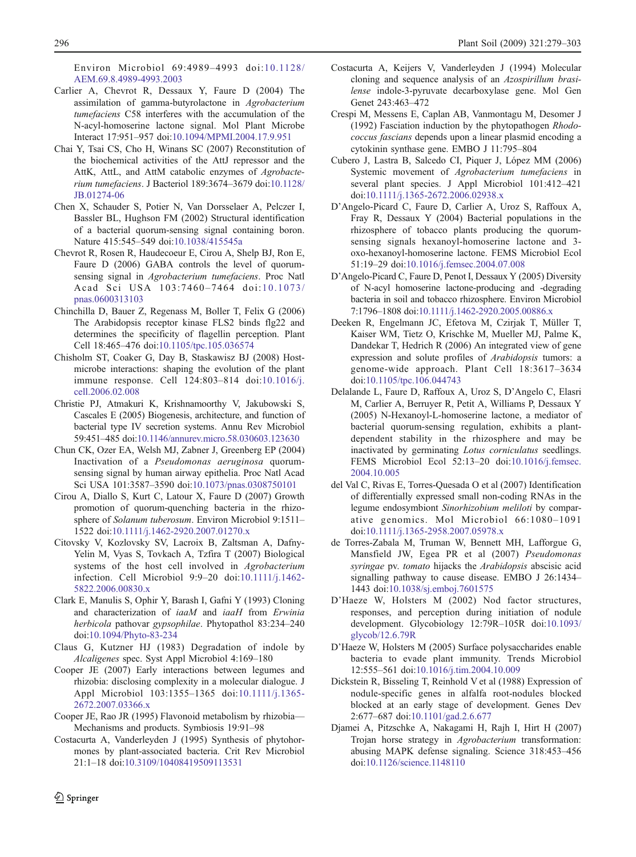<span id="page-17-0"></span>Environ Microbiol 69:4989–4993 doi[:10.1128/](dx.doi.org/10.1128/AEM.69.8.4989-4993.2003) [AEM.69.8.4989-4993.2003](dx.doi.org/10.1128/AEM.69.8.4989-4993.2003)

- Carlier A, Chevrot R, Dessaux Y, Faure D (2004) The assimilation of gamma-butyrolactone in Agrobacterium tumefaciens C58 interferes with the accumulation of the N-acyl-homoserine lactone signal. Mol Plant Microbe Interact 17:951–957 do[i:10.1094/MPMI.2004.17.9.951](dx.doi.org/10.1094/MPMI.2004.17.9.951)
- Chai Y, Tsai CS, Cho H, Winans SC (2007) Reconstitution of the biochemical activities of the AttJ repressor and the AttK, AttL, and AttM catabolic enzymes of Agrobacterium tumefaciens. J Bacteriol 189:3674–3679 do[i:10.1128](dx.doi.org/10.1128/JB.01274-06)/ [JB.01274-06](dx.doi.org/10.1128/JB.01274-06)
- Chen X, Schauder S, Potier N, Van Dorsselaer A, Pelczer I, Bassler BL, Hughson FM (2002) Structural identification of a bacterial quorum-sensing signal containing boron. Nature 415:545–549 do[i:10.1038/415545a](dx.doi.org/10.1038/415545a)
- Chevrot R, Rosen R, Haudecoeur E, Cirou A, Shelp BJ, Ron E, Faure D (2006) GABA controls the level of quorumsensing signal in Agrobacterium tumefaciens. Proc Natl Acad Sci USA 103:7460–7464 doi[:10.1073/](dx.doi.org/10.1073/pnas.0600313103) [pnas.0600313103](dx.doi.org/10.1073/pnas.0600313103)
- Chinchilla D, Bauer Z, Regenass M, Boller T, Felix G (2006) The Arabidopsis receptor kinase FLS2 binds flg22 and determines the specificity of flagellin perception. Plant Cell 18:465–476 do[i:10.1105/tpc.105.036574](dx.doi.org/10.1105/tpc.105.036574)
- Chisholm ST, Coaker G, Day B, Staskawisz BJ (2008) Hostmicrobe interactions: shaping the evolution of the plant immune response. Cell 124:803–814 doi[:10.1016/j](dx.doi.org/10.1016/j.cell.2006.02.008). [cell.2006.02.008](dx.doi.org/10.1016/j.cell.2006.02.008)
- Christie PJ, Atmakuri K, Krishnamoorthy V, Jakubowski S, Cascales E (2005) Biogenesis, architecture, and function of bacterial type IV secretion systems. Annu Rev Microbiol 59:451–485 do[i:10.1146/annurev.micro.58.030603.123630](dx.doi.org/10.1146/annurev.micro.58.030603.123630)
- Chun CK, Ozer EA, Welsh MJ, Zabner J, Greenberg EP (2004) Inactivation of a Pseudomonas aeruginosa quorumsensing signal by human airway epithelia. Proc Natl Acad Sci USA 101:3587–3590 do[i:10.1073/pnas.0308750101](dx.doi.org/10.1073/pnas.0308750101)
- Cirou A, Diallo S, Kurt C, Latour X, Faure D (2007) Growth promotion of quorum-quenching bacteria in the rhizosphere of Solanum tuberosum. Environ Microbiol 9:1511-1522 do[i:10.1111/j.1462-2920.2007.01270.x](dx.doi.org/10.1111/j.1462-2920.2007.01270.x)
- Citovsky V, Kozlovsky SV, Lacroix B, Zaltsman A, Dafny-Yelin M, Vyas S, Tovkach A, Tzfira T (2007) Biological systems of the host cell involved in Agrobacterium infection. Cell Microbiol 9:9–20 do[i:10.1111/j.1462](dx.doi.org/10.1111/j.1462-5822.2006.00830.x)- [5822.2006.00830.x](dx.doi.org/10.1111/j.1462-5822.2006.00830.x)
- Clark E, Manulis S, Ophir Y, Barash I, Gafni Y (1993) Cloning and characterization of iaaM and iaaH from Erwinia herbicola pathovar gypsophilae. Phytopathol 83:234–240 do[i:10.1094/Phyto-83-234](dx.doi.org/10.1094/Phyto-83-234)
- Claus G, Kutzner HJ (1983) Degradation of indole by Alcaligenes spec. Syst Appl Microbiol 4:169–180
- Cooper JE (2007) Early interactions between legumes and rhizobia: disclosing complexity in a molecular dialogue. J Appl Microbiol 103:1355–1365 do[i:10.1111/j.1365](dx.doi.org/10.1111/j.1365-2672.2007.03366.x)- [2672.2007.03366.x](dx.doi.org/10.1111/j.1365-2672.2007.03366.x)
- Cooper JE, Rao JR (1995) Flavonoid metabolism by rhizobia— Mechanisms and products. Symbiosis 19:91–98
- Costacurta A, Vanderleyden J (1995) Synthesis of phytohormones by plant-associated bacteria. Crit Rev Microbiol 21:1–18 do[i:10.3109/10408419509113531](dx.doi.org/10.3109/10408419509113531)
- Costacurta A, Keijers V, Vanderleyden J (1994) Molecular cloning and sequence analysis of an Azospirillum brasilense indole-3-pyruvate decarboxylase gene. Mol Gen Genet 243:463–472
- Crespi M, Messens E, Caplan AB, Vanmontagu M, Desomer J (1992) Fasciation induction by the phytopathogen Rhodococcus fascians depends upon a linear plasmid encoding a cytokinin synthase gene. EMBO J 11:795–804
- Cubero J, Lastra B, Salcedo CI, Piquer J, López MM (2006) Systemic movement of Agrobacterium tumefaciens in several plant species. J Appl Microbiol 101:412–421 do[i:10.1111/j.1365-2672.2006.02938.x](dx.doi.org/10.1111/j.1365-2672.2006.02938.x)
- D'Angelo-Picard C, Faure D, Carlier A, Uroz S, Raffoux A, Fray R, Dessaux Y (2004) Bacterial populations in the rhizosphere of tobacco plants producing the quorumsensing signals hexanoyl-homoserine lactone and 3 oxo-hexanoyl-homoserine lactone. FEMS Microbiol Ecol 51:19–29 do[i:10.1016/j.femsec.2004.07.008](dx.doi.org/10.1016/j.femsec.2004.07.008)
- D'Angelo-Picard C, Faure D, Penot I, Dessaux Y (2005) Diversity of N-acyl homoserine lactone-producing and -degrading bacteria in soil and tobacco rhizosphere. Environ Microbiol 7:1796–1808 do[i:10.1111/j.1462-2920.2005.00886.x](dx.doi.org/10.1111/j.1462-2920.2005.00886.x)
- Deeken R, Engelmann JC, Efetova M, Czirjak T, Müller T, Kaiser WM, Tietz O, Krischke M, Mueller MJ, Palme K, Dandekar T, Hedrich R (2006) An integrated view of gene expression and solute profiles of Arabidopsis tumors: a genome-wide approach. Plant Cell 18:3617–3634 do[i:10.1105/tpc.106.044743](dx.doi.org/10.1105/tpc.106.044743)
- Delalande L, Faure D, Raffoux A, Uroz S, D'Angelo C, Elasri M, Carlier A, Berruyer R, Petit A, Williams P, Dessaux Y (2005) N-Hexanoyl-L-homoserine lactone, a mediator of bacterial quorum-sensing regulation, exhibits a plantdependent stability in the rhizosphere and may be inactivated by germinating Lotus corniculatus seedlings. FEMS Microbiol Ecol 52:13–20 do[i:10.1016/j.femsec](dx.doi.org/10.1016/j.femsec.2004.10.005). [2004.10.005](dx.doi.org/10.1016/j.femsec.2004.10.005)
- del Val C, Rivas E, Torres-Quesada O et al (2007) Identification of differentially expressed small non-coding RNAs in the legume endosymbiont Sinorhizobium meliloti by comparative genomics. Mol Microbiol 66:1080–1091 do[i:10.1111/j.1365-2958.2007.05978.x](dx.doi.org/10.1111/j.1365-2958.2007.05978.x)
- de Torres-Zabala M, Truman W, Bennett MH, Lafforgue G, Mansfield JW, Egea PR et al (2007) Pseudomonas syringae pv. tomato hijacks the Arabidopsis abscisic acid signalling pathway to cause disease. EMBO J 26:1434– 1443 do[i:10.1038/sj.emboj.7601575](dx.doi.org/10.1038/sj.emboj.7601575)
- D'Haeze W, Holsters M (2002) Nod factor structures, responses, and perception during initiation of nodule development. Glycobiology 12:79R–105R do[i:10.1093](dx.doi.org/10.1093/glycob/12.6.79R)/ [glycob/12.6.79R](dx.doi.org/10.1093/glycob/12.6.79R)
- D'Haeze W, Holsters M (2005) Surface polysaccharides enable bacteria to evade plant immunity. Trends Microbiol 12:555–561 do[i:10.1016/j.tim.2004.10.009](dx.doi.org/10.1016/j.tim.2004.10.009)
- Dickstein R, Bisseling T, Reinhold V et al (1988) Expression of nodule-specific genes in alfalfa root-nodules blocked blocked at an early stage of development. Genes Dev 2:677–687 do[i:10.1101/gad.2.6.677](dx.doi.org/10.1101/gad.2.6.677)
- Djamei A, Pitzschke A, Nakagami H, Rajh I, Hirt H (2007) Trojan horse strategy in Agrobacterium transformation: abusing MAPK defense signaling. Science 318:453–456 do[i:10.1126/science.1148110](dx.doi.org/10.1126/science.1148110)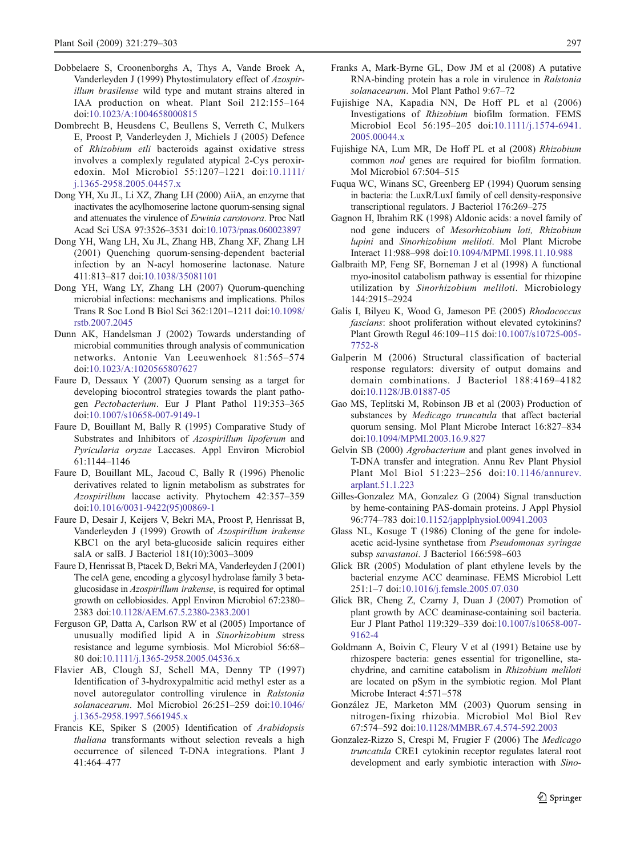- <span id="page-18-0"></span>Dobbelaere S, Croonenborghs A, Thys A, Vande Broek A, Vanderleyden J (1999) Phytostimulatory effect of Azospirillum brasilense wild type and mutant strains altered in IAA production on wheat. Plant Soil 212:155–164 do[i:10.1023/A:1004658000815](dx.doi.org/10.1023/A:1004658000815)
- Dombrecht B, Heusdens C, Beullens S, Verreth C, Mulkers E, Proost P, Vanderleyden J, Michiels J (2005) Defence of Rhizobium etli bacteroids against oxidative stress involves a complexly regulated atypical 2-Cys peroxiredoxin. Mol Microbiol 55:1207–1221 doi[:10.1111](dx.doi.org/10.1111/j.1365-2958.2005.04457.x)/ [j.1365-2958.2005.04457.x](dx.doi.org/10.1111/j.1365-2958.2005.04457.x)
- Dong YH, Xu JL, Li XZ, Zhang LH (2000) AiiA, an enzyme that inactivates the acylhomoserine lactone quorum-sensing signal and attenuates the virulence of Erwinia carotovora. Proc Natl Acad Sci USA 97:3526–3531 do[i:10.1073/pnas.060023897](dx.doi.org/10.1073/pnas.060023897)
- Dong YH, Wang LH, Xu JL, Zhang HB, Zhang XF, Zhang LH (2001) Quenching quorum-sensing-dependent bacterial infection by an N-acyl homoserine lactonase. Nature 411:813–817 do[i:10.1038/35081101](dx.doi.org/10.1038/35081101)
- Dong YH, Wang LY, Zhang LH (2007) Quorum-quenching microbial infections: mechanisms and implications. Philos Trans R Soc Lond B Biol Sci 362:1201–1211 do[i:10.1098](dx.doi.org/10.1098/rstb.2007.2045)/ [rstb.2007.2045](dx.doi.org/10.1098/rstb.2007.2045)
- Dunn AK, Handelsman J (2002) Towards understanding of microbial communities through analysis of communication networks. Antonie Van Leeuwenhoek 81:565–574 do[i:10.1023/A:1020565807627](dx.doi.org/10.1023/A:1020565807627)
- Faure D, Dessaux Y (2007) Quorum sensing as a target for developing biocontrol strategies towards the plant pathogen Pectobacterium. Eur J Plant Pathol 119:353–365 do[i:10.1007/s10658-007-9149-1](dx.doi.org/10.1007/s10658-007-9149-1)
- Faure D, Bouillant M, Bally R (1995) Comparative Study of Substrates and Inhibitors of Azospirillum lipoferum and Pyricularia oryzae Laccases. Appl Environ Microbiol 61:1144–1146
- Faure D, Bouillant ML, Jacoud C, Bally R (1996) Phenolic derivatives related to lignin metabolism as substrates for Azospirillum laccase activity. Phytochem 42:357–359 do[i:10.1016/0031-9422\(95\)00869-1](dx.doi.org/10.1016/0031-9422(95)00869-1)
- Faure D, Desair J, Keijers V, Bekri MA, Proost P, Henrissat B, Vanderleyden J (1999) Growth of Azospirillum irakense KBC1 on the aryl beta-glucoside salicin requires either salA or salB. J Bacteriol 181(10):3003–3009
- Faure D, Henrissat B, Ptacek D, Bekri MA, Vanderleyden J (2001) The celA gene, encoding a glycosyl hydrolase family 3 betaglucosidase in Azospirillum irakense, is required for optimal growth on cellobiosides. Appl Environ Microbiol 67:2380– 2383 do[i:10.1128/AEM.67.5.2380-2383.2001](dx.doi.org/10.1128/AEM.67.5.2380-2383.2001)
- Ferguson GP, Datta A, Carlson RW et al (2005) Importance of unusually modified lipid A in Sinorhizobium stress resistance and legume symbiosis. Mol Microbiol 56:68– 80 do[i:10.1111/j.1365-2958.2005.04536.x](dx.doi.org/10.1111/j.1365-2958.2005.04536.x)
- Flavier AB, Clough SJ, Schell MA, Denny TP (1997) Identification of 3-hydroxypalmitic acid methyl ester as a novel autoregulator controlling virulence in Ralstonia solanacearum. Mol Microbiol 26:251–259 do[i:10.1046](dx.doi.org/10.1046/j.1365-2958.1997.5661945.x)/ [j.1365-2958.1997.5661945.x](dx.doi.org/10.1046/j.1365-2958.1997.5661945.x)
- Francis KE, Spiker S (2005) Identification of Arabidopsis thaliana transformants without selection reveals a high occurrence of silenced T-DNA integrations. Plant J 41:464–477
- Franks A, Mark-Byrne GL, Dow JM et al (2008) A putative RNA-binding protein has a role in virulence in Ralstonia solanacearum. Mol Plant Pathol 9:67–72
- Fujishige NA, Kapadia NN, De Hoff PL et al (2006) Investigations of Rhizobium biofilm formation. FEMS Microbiol Ecol 56:195–205 do[i:10.1111/j.1574-6941](dx.doi.org/10.1111/j.1574-6941.2005.00044.x). [2005.00044.x](dx.doi.org/10.1111/j.1574-6941.2005.00044.x)
- Fujishige NA, Lum MR, De Hoff PL et al (2008) Rhizobium common nod genes are required for biofilm formation. Mol Microbiol 67:504–515
- Fuqua WC, Winans SC, Greenberg EP (1994) Quorum sensing in bacteria: the LuxR/LuxI family of cell density-responsive transcriptional regulators. J Bacteriol 176:269–275
- Gagnon H, Ibrahim RK (1998) Aldonic acids: a novel family of nod gene inducers of Mesorhizobium loti, Rhizobium lupini and Sinorhizobium meliloti. Mol Plant Microbe Interact 11:988–998 do[i:10.1094/MPMI.1998.11.10.988](dx.doi.org/10.1094/MPMI.1998.11.10.988)
- Galbraith MP, Feng SF, Borneman J et al (1998) A functional myo-inositol catabolism pathway is essential for rhizopine utilization by Sinorhizobium meliloti. Microbiology 144:2915–2924
- Galis I, Bilyeu K, Wood G, Jameson PE (2005) Rhodococcus fascians: shoot proliferation without elevated cytokinins? Plant Growth Regul 46:109–115 do[i:10.1007/s10725-005](dx.doi.org/10.1007/s10725-005-7752-8)- [7752-8](dx.doi.org/10.1007/s10725-005-7752-8)
- Galperin M (2006) Structural classification of bacterial response regulators: diversity of output domains and domain combinations. J Bacteriol 188:4169–4182 do[i:10.1128/JB.01887-05](dx.doi.org/10.1128/JB.01887-05)
- Gao MS, Teplitski M, Robinson JB et al (2003) Production of substances by Medicago truncatula that affect bacterial quorum sensing. Mol Plant Microbe Interact 16:827–834 do[i:10.1094/MPMI.2003.16.9.827](dx.doi.org/10.1094/MPMI.2003.16.9.827)
- Gelvin SB (2000) Agrobacterium and plant genes involved in T-DNA transfer and integration. Annu Rev Plant Physiol Plant Mol Biol 51:223–256 doi[:10.1146/annurev](dx.doi.org/10.1146/annurev.arplant.51.1.223). [arplant.51.1.223](dx.doi.org/10.1146/annurev.arplant.51.1.223)
- Gilles-Gonzalez MA, Gonzalez G (2004) Signal transduction by heme-containing PAS-domain proteins. J Appl Physiol 96:774–783 do[i:10.1152/japplphysiol.00941.2003](dx.doi.org/10.1152/japplphysiol.00941.2003)
- Glass NL, Kosuge T (1986) Cloning of the gene for indoleacetic acid-lysine synthetase from Pseudomonas syringae subsp savastanoi. J Bacteriol 166:598–603
- Glick BR (2005) Modulation of plant ethylene levels by the bacterial enzyme ACC deaminase. FEMS Microbiol Lett 251:1–7 do[i:10.1016/j.femsle.2005.07.030](dx.doi.org/10.1016/j.femsle.2005.07.030)
- Glick BR, Cheng Z, Czarny J, Duan J (2007) Promotion of plant growth by ACC deaminase-containing soil bacteria. Eur J Plant Pathol 119:329–339 do[i:10.1007/s10658-007](dx.doi.org/10.1007/s10658-007-9162-4)- [9162-4](dx.doi.org/10.1007/s10658-007-9162-4)
- Goldmann A, Boivin C, Fleury V et al (1991) Betaine use by rhizospere bacteria: genes essential for trigonelline, stachydrine, and carnitine catabolism in Rhizobium meliloti are located on pSym in the symbiotic region. Mol Plant Microbe Interact 4:571–578
- González JE, Marketon MM (2003) Quorum sensing in nitrogen-fixing rhizobia. Microbiol Mol Biol Rev 67:574–592 do[i:10.1128/MMBR.67.4.574-592.2003](dx.doi.org/10.1128/MMBR.67.4.574-592.2003)
- Gonzalez-Rizzo S, Crespi M, Frugier F (2006) The Medicago truncatula CRE1 cytokinin receptor regulates lateral root development and early symbiotic interaction with Sino-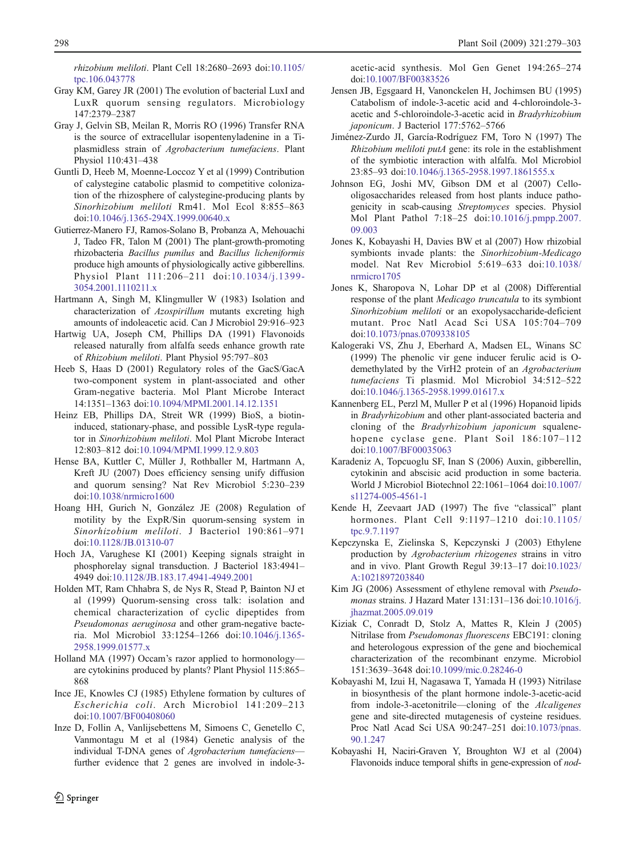<span id="page-19-0"></span>rhizobium meliloti. Plant Cell 18:2680–2693 do[i:10.1105](dx.doi.org/10.1105/tpc.106.043778)/ [tpc.106.043778](dx.doi.org/10.1105/tpc.106.043778)

- Gray KM, Garey JR (2001) The evolution of bacterial LuxI and LuxR quorum sensing regulators. Microbiology 147:2379–2387
- Gray J, Gelvin SB, Meilan R, Morris RO (1996) Transfer RNA is the source of extracellular isopentenyladenine in a Tiplasmidless strain of Agrobacterium tumefaciens. Plant Physiol 110:431–438
- Guntli D, Heeb M, Moenne-Loccoz Y et al (1999) Contribution of calystegine catabolic plasmid to competitive colonization of the rhizosphere of calystegine-producing plants by Sinorhizobium meliloti Rm41. Mol Ecol 8:855–863 do[i:10.1046/j.1365-294X.1999.00640.x](dx.doi.org/10.1046/j.1365-294X.1999.00640.x)
- Gutierrez-Manero FJ, Ramos-Solano B, Probanza A, Mehouachi J, Tadeo FR, Talon M (2001) The plant-growth-promoting rhizobacteria Bacillus pumilus and Bacillus licheniformis produce high amounts of physiologically active gibberellins. Physiol Plant 111:206–211 doi[:10.1034/j.1399-](dx.doi.org/10.1034/j.1399-3054.2001.1110211.x) [3054.2001.1110211.x](dx.doi.org/10.1034/j.1399-3054.2001.1110211.x)
- Hartmann A, Singh M, Klingmuller W (1983) Isolation and characterization of Azospirillum mutants excreting high amounts of indoleacetic acid. Can J Microbiol 29:916–923
- Hartwig UA, Joseph CM, Phillips DA (1991) Flavonoids released naturally from alfalfa seeds enhance growth rate of Rhizobium meliloti. Plant Physiol 95:797–803
- Heeb S, Haas D (2001) Regulatory roles of the GacS/GacA two-component system in plant-associated and other Gram-negative bacteria. Mol Plant Microbe Interact 14:1351–1363 do[i:10.1094/MPMI.2001.14.12.1351](dx.doi.org/10.1094/MPMI.2001.14.12.1351)
- Heinz EB, Phillips DA, Streit WR (1999) BioS, a biotininduced, stationary-phase, and possible LysR-type regulator in Sinorhizobium meliloti. Mol Plant Microbe Interact 12:803–812 do[i:10.1094/MPMI.1999.12.9.803](dx.doi.org/10.1094/MPMI.1999.12.9.803)
- Hense BA, Kuttler C, Müller J, Rothballer M, Hartmann A, Kreft JU (2007) Does efficiency sensing unify diffusion and quorum sensing? Nat Rev Microbiol 5:230–239 do[i:10.1038/nrmicro1600](dx.doi.org/10.1038/nrmicro1600)
- Hoang HH, Gurich N, González JE (2008) Regulation of motility by the ExpR/Sin quorum-sensing system in Sinorhizobium meliloti. J Bacteriol 190:861–971 do[i:10.1128/JB.01310-07](dx.doi.org/10.1128/JB.01310-07)
- Hoch JA, Varughese KI (2001) Keeping signals straight in phosphorelay signal transduction. J Bacteriol 183:4941– 4949 do[i:10.1128/JB.183.17.4941-4949.2001](dx.doi.org/10.1128/JB.183.17.4941-4949.2001)
- Holden MT, Ram Chhabra S, de Nys R, Stead P, Bainton NJ et al (1999) Quorum-sensing cross talk: isolation and chemical characterization of cyclic dipeptides from Pseudomonas aeruginosa and other gram-negative bacteria. Mol Microbiol 33:1254–1266 do[i:10.1046/j.1365](dx.doi.org/10.1046/j.1365-2958.1999.01577.x)- [2958.1999.01577.x](dx.doi.org/10.1046/j.1365-2958.1999.01577.x)
- Holland MA (1997) Occam's razor applied to hormonology are cytokinins produced by plants? Plant Physiol 115:865– 868
- Ince JE, Knowles CJ (1985) Ethylene formation by cultures of Escherichia coli. Arch Microbiol 141:209–213 do[i:10.1007/BF00408060](dx.doi.org/10.1007/BF00408060)
- Inze D, Follin A, Vanlijsebettens M, Simoens C, Genetello C, Vanmontagu M et al (1984) Genetic analysis of the individual T-DNA genes of Agrobacterium tumefaciens further evidence that 2 genes are involved in indole-3-

acetic-acid synthesis. Mol Gen Genet 194:265–274 do[i:10.1007/BF00383526](dx.doi.org/10.1007/BF00383526)

- Jensen JB, Egsgaard H, Vanonckelen H, Jochimsen BU (1995) Catabolism of indole-3-acetic acid and 4-chloroindole-3 acetic and 5-chloroindole-3-acetic acid in Bradyrhizobium japonicum. J Bacteriol 177:5762–5766
- Jiménez-Zurdo JI, García-Rodríguez FM, Toro N (1997) The Rhizobium meliloti putA gene: its role in the establishment of the symbiotic interaction with alfalfa. Mol Microbiol 23:85–93 do[i:10.1046/j.1365-2958.1997.1861555.x](dx.doi.org/10.1046/j.1365-2958.1997.1861555.x)
- Johnson EG, Joshi MV, Gibson DM et al (2007) Cellooligosaccharides released from host plants induce pathogenicity in scab-causing Streptomyces species. Physiol Mol Plant Pathol 7:18–25 do[i:10.1016/j.pmpp.2007](dx.doi.org/10.1016/j.pmpp.2007.09.003). [09.003](dx.doi.org/10.1016/j.pmpp.2007.09.003)
- Jones K, Kobayashi H, Davies BW et al (2007) How rhizobial symbionts invade plants: the Sinorhizobium-Medicago model. Nat Rev Microbiol 5:619–633 doi[:10.1038/](dx.doi.org/10.1038/nrmicro1705) [nrmicro1705](dx.doi.org/10.1038/nrmicro1705)
- Jones K, Sharopova N, Lohar DP et al (2008) Differential response of the plant Medicago truncatula to its symbiont Sinorhizobium meliloti or an exopolysaccharide-deficient mutant. Proc Natl Acad Sci USA 105:704–709 do[i:10.1073/pnas.0709338105](dx.doi.org/10.1073/pnas.0709338105)
- Kalogeraki VS, Zhu J, Eberhard A, Madsen EL, Winans SC (1999) The phenolic vir gene inducer ferulic acid is Odemethylated by the VirH2 protein of an Agrobacterium tumefaciens Ti plasmid. Mol Microbiol 34:512–522 do[i:10.1046/j.1365-2958.1999.01617.x](dx.doi.org/10.1046/j.1365-2958.1999.01617.x)
- Kannenberg EL, Perzl M, Muller P et al (1996) Hopanoid lipids in Bradyrhizobium and other plant-associated bacteria and cloning of the Bradyrhizobium japonicum squalenehopene cyclase gene. Plant Soil 186:107–112 do[i:10.1007/BF00035063](dx.doi.org/10.1007/BF00035063)
- Karadeniz A, Topcuoglu SF, Inan S (2006) Auxin, gibberellin, cytokinin and abscisic acid production in some bacteria. World J Microbiol Biotechnol 22:1061–1064 do[i:10.1007](dx.doi.org/10.1007/s11274-005-4561-1)/ [s11274-005-4561-1](dx.doi.org/10.1007/s11274-005-4561-1)
- Kende H, Zeevaart JAD (1997) The five "classical" plant hormones. Plant Cell 9:1197–1210 doi[:10.1105/](dx.doi.org/10.1105/tpc.9.7.1197) [tpc.9.7.1197](dx.doi.org/10.1105/tpc.9.7.1197)
- Kepczynska E, Zielinska S, Kepczynski J (2003) Ethylene production by Agrobacterium rhizogenes strains in vitro and in vivo. Plant Growth Regul 39:13–17 do[i:10.1023](dx.doi.org/10.1023/A:1021897203840)/ [A:1021897203840](dx.doi.org/10.1023/A:1021897203840)
- Kim JG (2006) Assessment of ethylene removal with Pseudomonas strains. J Hazard Mater 131:131–136 do[i:10.1016/j](dx.doi.org/10.1016/j.jhazmat.2005.09.019). [jhazmat.2005.09.019](dx.doi.org/10.1016/j.jhazmat.2005.09.019)
- Kiziak C, Conradt D, Stolz A, Mattes R, Klein J (2005) Nitrilase from Pseudomonas fluorescens EBC191: cloning and heterologous expression of the gene and biochemical characterization of the recombinant enzyme. Microbiol 151:3639–3648 do[i:10.1099/mic.0.28246-0](dx.doi.org/10.1099/mic.0.28246-0)
- Kobayashi M, Izui H, Nagasawa T, Yamada H (1993) Nitrilase in biosynthesis of the plant hormone indole-3-acetic-acid from indole-3-acetonitrile—cloning of the Alcaligenes gene and site-directed mutagenesis of cysteine residues. Proc Natl Acad Sci USA 90:247–251 do[i:10.1073/pnas](dx.doi.org/10.1073/pnas.90.1.247). [90.1.247](dx.doi.org/10.1073/pnas.90.1.247)
- Kobayashi H, Naciri-Graven Y, Broughton WJ et al (2004) Flavonoids induce temporal shifts in gene-expression of nod-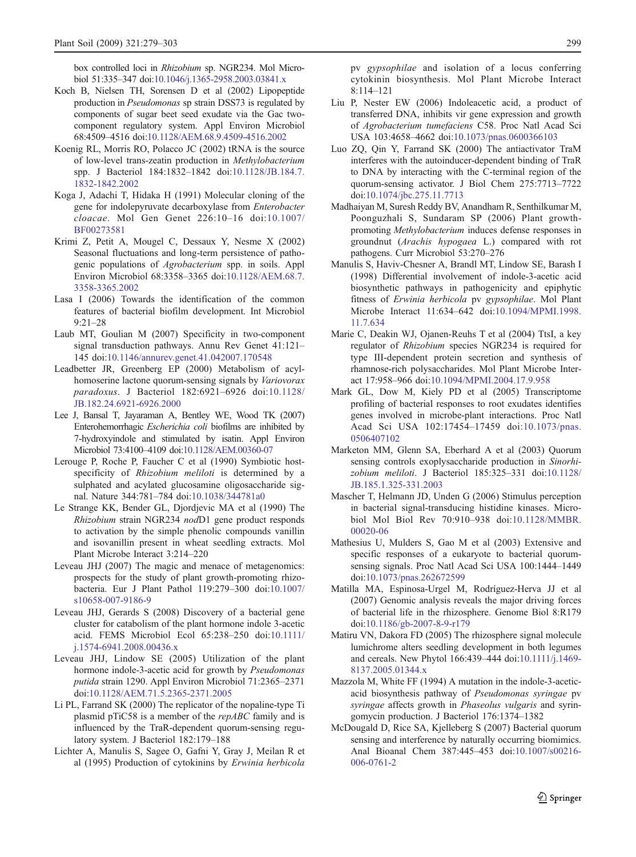<span id="page-20-0"></span>box controlled loci in Rhizobium sp. NGR234. Mol Microbiol 51:335–347 do[i:10.1046/j.1365-2958.2003.03841.x](dx.doi.org/10.1046/j.1365-2958.2003.03841.x)

- Koch B, Nielsen TH, Sorensen D et al (2002) Lipopeptide production in Pseudomonas sp strain DSS73 is regulated by components of sugar beet seed exudate via the Gac twocomponent regulatory system. Appl Environ Microbiol 68:4509–4516 do[i:10.1128/AEM.68.9.4509-4516.2002](dx.doi.org/10.1128/AEM.68.9.4509-4516.2002)
- Koenig RL, Morris RO, Polacco JC (2002) tRNA is the source of low-level trans-zeatin production in Methylobacterium spp. J Bacteriol 184:1832–1842 do[i:10.1128/JB.184.7](dx.doi.org/10.1128/JB.184.7.1832-1842.2002). [1832-1842.2002](dx.doi.org/10.1128/JB.184.7.1832-1842.2002)
- Koga J, Adachi T, Hidaka H (1991) Molecular cloning of the gene for indolepyruvate decarboxylase from Enterobacter cloacae. Mol Gen Genet 226:10–16 doi[:10.1007/](dx.doi.org/10.1007/BF00273581) [BF00273581](dx.doi.org/10.1007/BF00273581)
- Krimi Z, Petit A, Mougel C, Dessaux Y, Nesme X (2002) Seasonal fluctuations and long-term persistence of pathogenic populations of Agrobacterium spp. in soils. Appl Environ Microbiol 68:3358–3365 do[i:10.1128/AEM.68.7](dx.doi.org/10.1128/AEM.68.7.3358-3365.2002). [3358-3365.2002](dx.doi.org/10.1128/AEM.68.7.3358-3365.2002)
- Lasa I (2006) Towards the identification of the common features of bacterial biofilm development. Int Microbiol 9:21–28
- Laub MT, Goulian M (2007) Specificity in two-component signal transduction pathways. Annu Rev Genet 41:121– 145 do[i:10.1146/annurev.genet.41.042007.170548](dx.doi.org/10.1146/annurev.genet.41.042007.170548)
- Leadbetter JR, Greenberg EP (2000) Metabolism of acylhomoserine lactone quorum-sensing signals by Variovorax paradoxus. J Bacteriol 182:6921–6926 do[i:10.1128](dx.doi.org/10.1128/JB.182.24.6921-6926.2000)/ [JB.182.24.6921-6926.2000](dx.doi.org/10.1128/JB.182.24.6921-6926.2000)
- Lee J, Bansal T, Jayaraman A, Bentley WE, Wood TK (2007) Enterohemorrhagic Escherichia coli biofilms are inhibited by 7-hydroxyindole and stimulated by isatin. Appl Environ Microbiol 73:4100–4109 do[i:10.1128/AEM.00360-07](dx.doi.org/10.1128/AEM.00360-07)
- Lerouge P, Roche P, Faucher C et al (1990) Symbiotic hostspecificity of *Rhizobium meliloti* is determined by a sulphated and acylated glucosamine oligosaccharide signal. Nature 344:781–784 do[i:10.1038/344781a0](dx.doi.org/10.1038/344781a0)
- Le Strange KK, Bender GL, Djordjevic MA et al (1990) The Rhizobium strain NGR234 nodD1 gene product responds to activation by the simple phenolic compounds vanillin and isovanillin present in wheat seedling extracts. Mol Plant Microbe Interact 3:214–220
- Leveau JHJ (2007) The magic and menace of metagenomics: prospects for the study of plant growth-promoting rhizobacteria. Eur J Plant Pathol 119:279–300 do[i:10.1007](dx.doi.org/10.1007/s10658-007-9186-9)/ [s10658-007-9186-9](dx.doi.org/10.1007/s10658-007-9186-9)
- Leveau JHJ, Gerards S (2008) Discovery of a bacterial gene cluster for catabolism of the plant hormone indole 3-acetic acid. FEMS Microbiol Ecol 65:238–250 do[i:10.1111](dx.doi.org/10.1111/j.1574-6941.2008.00436.x)/ [j.1574-6941.2008.00436.x](dx.doi.org/10.1111/j.1574-6941.2008.00436.x)
- Leveau JHJ, Lindow SE (2005) Utilization of the plant hormone indole-3-acetic acid for growth by *Pseudomonas* putida strain 1290. Appl Environ Microbiol 71:2365–2371 do[i:10.1128/AEM.71.5.2365-2371.2005](dx.doi.org/10.1128/AEM.71.5.2365-2371.2005)
- Li PL, Farrand SK (2000) The replicator of the nopaline-type Ti plasmid pTiC58 is a member of the repABC family and is influenced by the TraR-dependent quorum-sensing regulatory system. J Bacteriol 182:179–188
- Lichter A, Manulis S, Sagee O, Gafni Y, Gray J, Meilan R et al (1995) Production of cytokinins by Erwinia herbicola

pv gypsophilae and isolation of a locus conferring cytokinin biosynthesis. Mol Plant Microbe Interact 8:114–121

- Liu P, Nester EW (2006) Indoleacetic acid, a product of transferred DNA, inhibits vir gene expression and growth of Agrobacterium tumefaciens C58. Proc Natl Acad Sci USA 103:4658–4662 do[i:10.1073/pnas.0600366103](dx.doi.org/10.1073/pnas.0600366103)
- Luo ZQ, Qin Y, Farrand SK (2000) The antiactivator TraM interferes with the autoinducer-dependent binding of TraR to DNA by interacting with the C-terminal region of the quorum-sensing activator. J Biol Chem 275:7713–7722 do[i:10.1074/jbc.275.11.7713](dx.doi.org/10.1074/jbc.275.11.7713)
- Madhaiyan M, Suresh Reddy BV, Anandham R, Senthilkumar M, Poonguzhali S, Sundaram SP (2006) Plant growthpromoting Methylobacterium induces defense responses in groundnut (Arachis hypogaea L.) compared with rot pathogens. Curr Microbiol 53:270–276
- Manulis S, Haviv-Chesner A, Brandl MT, Lindow SE, Barash I (1998) Differential involvement of indole-3-acetic acid biosynthetic pathways in pathogenicity and epiphytic fitness of Erwinia herbicola pv gypsophilae. Mol Plant Microbe Interact 11:634–642 do[i:10.1094/MPMI.1998](dx.doi.org/10.1094/MPMI.1998.11.7.634). [11.7.634](dx.doi.org/10.1094/MPMI.1998.11.7.634)
- Marie C, Deakin WJ, Ojanen-Reuhs T et al (2004) TtsI, a key regulator of Rhizobium species NGR234 is required for type III-dependent protein secretion and synthesis of rhamnose-rich polysaccharides. Mol Plant Microbe Interact 17:958–966 do[i:10.1094/MPMI.2004.17.9.958](dx.doi.org/10.1094/MPMI.2004.17.9.958)
- Mark GL, Dow M, Kiely PD et al (2005) Transcriptome profiling of bacterial responses to root exudates identifies genes involved in microbe-plant interactions. Proc Natl Acad Sci USA 102:17454–17459 do[i:10.1073/pnas](dx.doi.org/10.1073/pnas.0506407102). [0506407102](dx.doi.org/10.1073/pnas.0506407102)
- Marketon MM, Glenn SA, Eberhard A et al (2003) Quorum sensing controls exoplysaccharide production in Sinorhizobium meliloti. J Bacteriol 185:325–331 do[i:10.1128](dx.doi.org/10.1128/JB.185.1.325-331.2003)/ [JB.185.1.325-331.2003](dx.doi.org/10.1128/JB.185.1.325-331.2003)
- Mascher T, Helmann JD, Unden G (2006) Stimulus perception in bacterial signal-transducing histidine kinases. Microbiol Mol Biol Rev 70:910–938 do[i:10.1128/MMBR](dx.doi.org/10.1128/MMBR.00020-06). [00020-06](dx.doi.org/10.1128/MMBR.00020-06)
- Mathesius U, Mulders S, Gao M et al (2003) Extensive and specific responses of a eukaryote to bacterial quorumsensing signals. Proc Natl Acad Sci USA 100:1444–1449 do[i:10.1073/pnas.262672599](dx.doi.org/10.1073/pnas.262672599)
- Matilla MA, Espinosa-Urgel M, Rodríguez-Herva JJ et al (2007) Genomic analysis reveals the major driving forces of bacterial life in the rhizosphere. Genome Biol 8:R179 do[i:10.1186/gb-2007-8-9-r179](dx.doi.org/10.1186/gb-2007-8-9-r179)
- Matiru VN, Dakora FD (2005) The rhizosphere signal molecule lumichrome alters seedling development in both legumes and cereals. New Phytol 166:439–444 do[i:10.1111/j.1469](dx.doi.org/10.1111/j.1469-8137.2005.01344.x)- [8137.2005.01344.x](dx.doi.org/10.1111/j.1469-8137.2005.01344.x)
- Mazzola M, White FF (1994) A mutation in the indole-3-aceticacid biosynthesis pathway of Pseudomonas syringae pv syringae affects growth in Phaseolus vulgaris and syringomycin production. J Bacteriol 176:1374–1382
- McDougald D, Rice SA, Kjelleberg S (2007) Bacterial quorum sensing and interference by naturally occurring biomimics. Anal Bioanal Chem 387:445–453 do[i:10.1007/s00216](dx.doi.org/10.1007/s00216-006-0761-2)- [006-0761-2](dx.doi.org/10.1007/s00216-006-0761-2)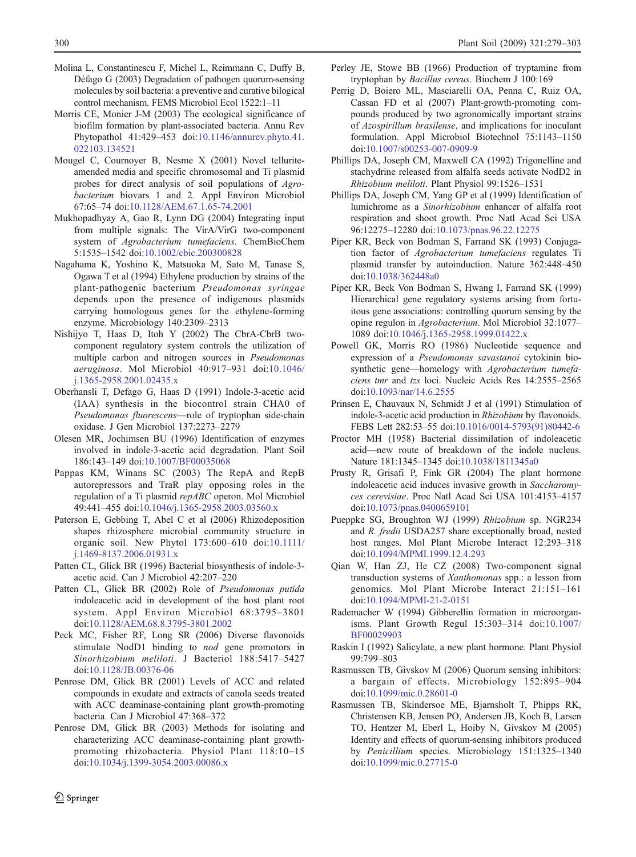- <span id="page-21-0"></span>Molina L, Constantinescu F, Michel L, Reimmann C, Duffy B, Défago G (2003) Degradation of pathogen quorum-sensing molecules by soil bacteria: a preventive and curative bilogical control mechanism. FEMS Microbiol Ecol 1522:1–11
- Morris CE, Monier J-M (2003) The ecological significance of biofilm formation by plant-associated bacteria. Annu Rev Phytopathol 41:429–453 do[i:10.1146/annurev.phyto.41](dx.doi.org/10.1146/annurev.phyto.41.022103.134521). [022103.134521](dx.doi.org/10.1146/annurev.phyto.41.022103.134521)
- Mougel C, Cournoyer B, Nesme X (2001) Novel telluriteamended media and specific chromosomal and Ti plasmid probes for direct analysis of soil populations of Agrobacterium biovars 1 and 2. Appl Environ Microbiol 67:65–74 do[i:10.1128/AEM.67.1.65-74.2001](dx.doi.org/10.1128/AEM.67.1.65-74.2001)
- Mukhopadhyay A, Gao R, Lynn DG (2004) Integrating input from multiple signals: The VirA/VirG two-component system of Agrobacterium tumefaciens. ChemBioChem 5:1535–1542 do[i:10.1002/cbic.200300828](dx.doi.org/10.1002/cbic.200300828)
- Nagahama K, Yoshino K, Matsuoka M, Sato M, Tanase S, Ogawa T et al (1994) Ethylene production by strains of the plant-pathogenic bacterium Pseudomonas syringae depends upon the presence of indigenous plasmids carrying homologous genes for the ethylene-forming enzyme. Microbiology 140:2309–2313
- Nishijyo T, Haas D, Itoh Y (2002) The CbrA-CbrB twocomponent regulatory system controls the utilization of multiple carbon and nitrogen sources in Pseudomonas aeruginosa. Mol Microbiol 40:917–931 do[i:10.1046](dx.doi.org/10.1046/j.1365-2958.2001.02435.x)/ [j.1365-2958.2001.02435.x](dx.doi.org/10.1046/j.1365-2958.2001.02435.x)
- Oberhansli T, Defago G, Haas D (1991) Indole-3-acetic acid (IAA) synthesis in the biocontrol strain CHA0 of Pseudomonas fluorescens—role of tryptophan side-chain oxidase. J Gen Microbiol 137:2273–2279
- Olesen MR, Jochimsen BU (1996) Identification of enzymes involved in indole-3-acetic acid degradation. Plant Soil 186:143–149 do[i:10.1007/BF00035068](dx.doi.org/10.1007/BF00035068)
- Pappas KM, Winans SC (2003) The RepA and RepB autorepressors and TraR play opposing roles in the regulation of a Ti plasmid repABC operon. Mol Microbiol 49:441–455 do[i:10.1046/j.1365-2958.2003.03560.x](dx.doi.org/10.1046/j.1365-2958.2003.03560.x)
- Paterson E, Gebbing T, Abel C et al (2006) Rhizodeposition shapes rhizosphere microbial community structure in organic soil. New Phytol 173:600–610 do[i:10.1111](dx.doi.org/10.1111/j.1469-8137.2006.01931.x)/ [j.1469-8137.2006.01931.x](dx.doi.org/10.1111/j.1469-8137.2006.01931.x)
- Patten CL, Glick BR (1996) Bacterial biosynthesis of indole-3 acetic acid. Can J Microbiol 42:207–220
- Patten CL, Glick BR (2002) Role of Pseudomonas putida indoleacetic acid in development of the host plant root system. Appl Environ Microbiol 68:3795–3801 do[i:10.1128/AEM.68.8.3795-3801.2002](dx.doi.org/10.1128/AEM.68.8.3795-3801.2002)
- Peck MC, Fisher RF, Long SR (2006) Diverse flavonoids stimulate NodD1 binding to nod gene promotors in Sinorhizobium meliloti. J Bacteriol 188:5417–5427 do[i:10.1128/JB.00376-06](dx.doi.org/10.1128/JB.00376-06)
- Penrose DM, Glick BR (2001) Levels of ACC and related compounds in exudate and extracts of canola seeds treated with ACC deaminase-containing plant growth-promoting bacteria. Can J Microbiol 47:368–372
- Penrose DM, Glick BR (2003) Methods for isolating and characterizing ACC deaminase-containing plant growthpromoting rhizobacteria. Physiol Plant 118:10–15 do[i:10.1034/j.1399-3054.2003.00086.x](dx.doi.org/10.1034/j.1399-3054.2003.00086.x)
- Perley JE, Stowe BB (1966) Production of tryptamine from tryptophan by Bacillus cereus. Biochem J 100:169
- Perrig D, Boiero ML, Masciarelli OA, Penna C, Ruiz OA, Cassan FD et al (2007) Plant-growth-promoting compounds produced by two agronomically important strains of Azospirillum brasilense, and implications for inoculant formulation. Appl Microbiol Biotechnol 75:1143–1150 do[i:10.1007/s00253-007-0909-9](dx.doi.org/10.1007/s00253-007-0909-9)
- Phillips DA, Joseph CM, Maxwell CA (1992) Trigonelline and stachydrine released from alfalfa seeds activate NodD2 in Rhizobium meliloti. Plant Physiol 99:1526–1531
- Phillips DA, Joseph CM, Yang GP et al (1999) Identification of lumichrome as a Sinorhizobium enhancer of alfalfa root respiration and shoot growth. Proc Natl Acad Sci USA 96:12275–12280 do[i:10.1073/pnas.96.22.12275](dx.doi.org/10.1073/pnas.96.22.12275)
- Piper KR, Beck von Bodman S, Farrand SK (1993) Conjugation factor of Agrobacterium tumefaciens regulates Ti plasmid transfer by autoinduction. Nature 362:448–450 do[i:10.1038/362448a0](dx.doi.org/10.1038/362448a0)
- Piper KR, Beck Von Bodman S, Hwang I, Farrand SK (1999) Hierarchical gene regulatory systems arising from fortuitous gene associations: controlling quorum sensing by the opine regulon in Agrobacterium. Mol Microbiol 32:1077– 1089 do[i:10.1046/j.1365-2958.1999.01422.x](dx.doi.org/10.1046/j.1365-2958.1999.01422.x)
- Powell GK, Morris RO (1986) Nucleotide sequence and expression of a Pseudomonas savastanoi cytokinin biosynthetic gene—homology with Agrobacterium tumefaciens tmr and tzs loci. Nucleic Acids Res 14:2555–2565 do[i:10.1093/nar/14.6.2555](dx.doi.org/10.1093/nar/14.6.2555)
- Prinsen E, Chauvaux N, Schmidt J et al (1991) Stimulation of indole-3-acetic acid production in Rhizobium by flavonoids. FEBS Lett 282:53–55 do[i:10.1016/0014-5793\(91\)80442-6](dx.doi.org/10.1016/0014-5793(91)80442-6)
- Proctor MH (1958) Bacterial dissimilation of indoleacetic acid—new route of breakdown of the indole nucleus. Nature 181:1345–1345 do[i:10.1038/1811345a0](dx.doi.org/10.1038/1811345a0)
- Prusty R, Grisafi P, Fink GR (2004) The plant hormone indoleacetic acid induces invasive growth in Saccharomyces cerevisiae. Proc Natl Acad Sci USA 101:4153–4157 do[i:10.1073/pnas.0400659101](dx.doi.org/10.1073/pnas.0400659101)
- Pueppke SG, Broughton WJ (1999) Rhizobium sp. NGR234 and R. fredii USDA257 share exceptionally broad, nested host ranges. Mol Plant Microbe Interact 12:293–318 do[i:10.1094/MPMI.1999.12.4.293](dx.doi.org/10.1094/MPMI.1999.12.4.293)
- Qian W, Han ZJ, He CZ (2008) Two-component signal transduction systems of Xanthomonas spp.: a lesson from genomics. Mol Plant Microbe Interact 21:151–161 do[i:10.1094/MPMI-21-2-0151](dx.doi.org/10.1094/MPMI-21-2-0151)
- Rademacher W (1994) Gibberellin formation in microorganisms. Plant Growth Regul 15:303–314 do[i:10.1007](dx.doi.org/10.1007/BF00029903)/ [BF00029903](dx.doi.org/10.1007/BF00029903)
- Raskin I (1992) Salicylate, a new plant hormone. Plant Physiol 99:799–803
- Rasmussen TB, Givskov M (2006) Quorum sensing inhibitors: a bargain of effects. Microbiology 152:895–904 do[i:10.1099/mic.0.28601-0](dx.doi.org/10.1099/mic.0.28601-0)
- Rasmussen TB, Skindersoe ME, Bjarnsholt T, Phipps RK, Christensen KB, Jensen PO, Andersen JB, Koch B, Larsen TO, Hentzer M, Eberl L, Hoiby N, Givskov M (2005) Identity and effects of quorum-sensing inhibitors produced by Penicillium species. Microbiology 151:1325–1340 do[i:10.1099/mic.0.27715-0](dx.doi.org/10.1099/mic.0.27715-0)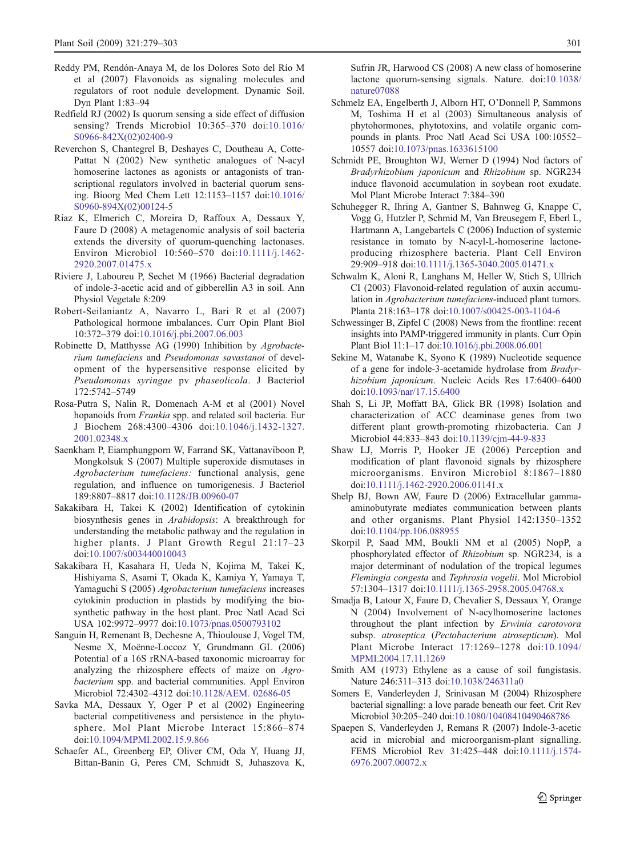- <span id="page-22-0"></span>Reddy PM, Rendón-Anaya M, de los Dolores Soto del Río M et al (2007) Flavonoids as signaling molecules and regulators of root nodule development. Dynamic Soil. Dyn Plant 1:83–94
- Redfield RJ (2002) Is quorum sensing a side effect of diffusion sensing? Trends Microbiol 10:365–370 do[i:10.1016](dx.doi.org/10.1016/S0966-842X(02)02400-9)/ [S0966-842X\(02\)02400-9](dx.doi.org/10.1016/S0966-842X(02)02400-9)
- Reverchon S, Chantegrel B, Deshayes C, Doutheau A, Cotte-Pattat N (2002) New synthetic analogues of N-acyl homoserine lactones as agonists or antagonists of transcriptional regulators involved in bacterial quorum sensing. Bioorg Med Chem Lett 12:1153–1157 do[i:10.1016](dx.doi.org/10.1016/S0960-894X(02)00124-5)/ [S0960-894X\(02\)00124-5](dx.doi.org/10.1016/S0960-894X(02)00124-5)
- Riaz K, Elmerich C, Moreira D, Raffoux A, Dessaux Y, Faure D (2008) A metagenomic analysis of soil bacteria extends the diversity of quorum-quenching lactonases. Environ Microbiol 10:560–570 doi[:10.1111/j.1462](dx.doi.org/10.1111/j.1462-2920.2007.01475.x)- [2920.2007.01475.x](dx.doi.org/10.1111/j.1462-2920.2007.01475.x)
- Riviere J, Laboureu P, Sechet M (1966) Bacterial degradation of indole-3-acetic acid and of gibberellin A3 in soil. Ann Physiol Vegetale 8:209
- Robert-Seilaniantz A, Navarro L, Bari R et al (2007) Pathological hormone imbalances. Curr Opin Plant Biol 10:372–379 do[i:10.1016/j.pbi.2007.06.003](dx.doi.org/10.1016/j.pbi.2007.06.003)
- Robinette D, Matthysse AG (1990) Inhibition by Agrobacterium tumefaciens and Pseudomonas savastanoi of development of the hypersensitive response elicited by Pseudomonas syringae pv phaseolicola. J Bacteriol 172:5742–5749
- Rosa-Putra S, Nalin R, Domenach A-M et al (2001) Novel hopanoids from Frankia spp. and related soil bacteria. Eur J Biochem 268:4300–4306 do[i:10.1046/j.1432-1327](dx.doi.org/10.1046/j.1432-1327.2001.02348.x). [2001.02348.x](dx.doi.org/10.1046/j.1432-1327.2001.02348.x)
- Saenkham P, Eiamphungporn W, Farrand SK, Vattanaviboon P, Mongkolsuk S (2007) Multiple superoxide dismutases in Agrobacterium tumefaciens: functional analysis, gene regulation, and influence on tumorigenesis. J Bacteriol 189:8807–8817 do[i:10.1128/JB.00960-07](dx.doi.org/10.1128/JB.00960-07)
- Sakakibara H, Takei K (2002) Identification of cytokinin biosynthesis genes in Arabidopsis: A breakthrough for understanding the metabolic pathway and the regulation in higher plants. J Plant Growth Regul 21:17–23 do[i:10.1007/s003440010043](dx.doi.org/10.1007/s003440010043)
- Sakakibara H, Kasahara H, Ueda N, Kojima M, Takei K, Hishiyama S, Asami T, Okada K, Kamiya Y, Yamaya T, Yamaguchi S (2005) Agrobacterium tumefaciens increases cytokinin production in plastids by modifying the biosynthetic pathway in the host plant. Proc Natl Acad Sci USA 102:9972–9977 do[i:10.1073/pnas.0500793102](dx.doi.org/10.1073/pnas.0500793102)
- Sanguin H, Remenant B, Dechesne A, Thioulouse J, Vogel TM, Nesme X, Moënne-Loccoz Y, Grundmann GL (2006) Potential of a 16S rRNA-based taxonomic microarray for analyzing the rhizosphere effects of maize on Agrobacterium spp. and bacterial communities. Appl Environ Microbiol 72:4302–4312 do[i:10.1128/AEM. 02686-05](dx.doi.org/10.1128/AEM.02686-05)
- Savka MA, Dessaux Y, Oger P et al (2002) Engineering bacterial competitiveness and persistence in the phytosphere. Mol Plant Microbe Interact 15:866–874 do[i:10.1094/MPMI.2002.15.9.866](dx.doi.org/10.1094/MPMI.2002.15.9.866)
- Schaefer AL, Greenberg EP, Oliver CM, Oda Y, Huang JJ, Bittan-Banin G, Peres CM, Schmidt S, Juhaszova K,

Sufrin JR, Harwood CS (2008) A new class of homoserine lactone quorum-sensing signals. Nature. do[i:10.1038](dx.doi.org/10.1038/nature07088)/ [nature07088](dx.doi.org/10.1038/nature07088)

- Schmelz EA, Engelberth J, Alborn HT, O'Donnell P, Sammons M, Toshima H et al (2003) Simultaneous analysis of phytohormones, phytotoxins, and volatile organic compounds in plants. Proc Natl Acad Sci USA 100:10552– 10557 do[i:10.1073/pnas.1633615100](dx.doi.org/10.1073/pnas.1633615100)
- Schmidt PE, Broughton WJ, Werner D (1994) Nod factors of Bradyrhizobium japonicum and Rhizobium sp. NGR234 induce flavonoid accumulation in soybean root exudate. Mol Plant Microbe Interact 7:384–390
- Schuhegger R, Ihring A, Gantner S, Bahnweg G, Knappe C, Vogg G, Hutzler P, Schmid M, Van Breusegem F, Eberl L, Hartmann A, Langebartels C (2006) Induction of systemic resistance in tomato by N-acyl-L-homoserine lactoneproducing rhizosphere bacteria. Plant Cell Environ 29:909–918 do[i:10.1111/j.1365-3040.2005.01471.x](dx.doi.org/10.1111/j.1365-3040.2005.01471.x)
- Schwalm K, Aloni R, Langhans M, Heller W, Stich S, Ullrich CI (2003) Flavonoid-related regulation of auxin accumulation in Agrobacterium tumefaciens-induced plant tumors. Planta 218:163–178 do[i:10.1007/s00425-003-1104-6](dx.doi.org/10.1007/s00425-003-1104-6)
- Schwessinger B, Zipfel C (2008) News from the frontline: recent insights into PAMP-triggered immunity in plants. Curr Opin Plant Biol 11:1–17 do[i:10.1016/j.pbi.2008.06.001](dx.doi.org/10.1016/j.pbi.2008.06.001)
- Sekine M, Watanabe K, Syono K (1989) Nucleotide sequence of a gene for indole-3-acetamide hydrolase from Bradyrhizobium japonicum. Nucleic Acids Res 17:6400–6400 do[i:10.1093/nar/17.15.6400](dx.doi.org/10.1093/nar/17.15.6400)
- Shah S, Li JP, Moffatt BA, Glick BR (1998) Isolation and characterization of ACC deaminase genes from two different plant growth-promoting rhizobacteria. Can J Microbiol 44:833–843 do[i:10.1139/cjm-44-9-833](dx.doi.org/10.1139/cjm-44-9-833)
- Shaw LJ, Morris P, Hooker JE (2006) Perception and modification of plant flavonoid signals by rhizosphere microorganisms. Environ Microbiol 8:1867–1880 do[i:10.1111/j.1462-2920.2006.01141.x](dx.doi.org/10.1111/j.1462-2920.2006.01141.x)
- Shelp BJ, Bown AW, Faure D (2006) Extracellular gammaaminobutyrate mediates communication between plants and other organisms. Plant Physiol 142:1350–1352 do[i:10.1104/pp.106.088955](dx.doi.org/10.1104/pp.106.088955)
- Skorpil P, Saad MM, Boukli NM et al (2005) NopP, a phosphorylated effector of Rhizobium sp. NGR234, is a major determinant of nodulation of the tropical legumes Flemingia congesta and Tephrosia vogelii. Mol Microbiol 57:1304–1317 do[i:10.1111/j.1365-2958.2005.04768.x](dx.doi.org/10.1111/j.1365-2958.2005.04768.x)
- Smadja B, Latour X, Faure D, Chevalier S, Dessaux Y, Orange N (2004) Involvement of N-acylhomoserine lactones throughout the plant infection by Erwinia carotovora subsp. atroseptica (Pectobacterium atrosepticum). Mol Plant Microbe Interact 17:1269–1278 do[i:10.1094/](dx.doi.org/10.1094/MPMI.2004.17.11.1269) [MPMI.2004.17.11.1269](dx.doi.org/10.1094/MPMI.2004.17.11.1269)
- Smith AM (1973) Ethylene as a cause of soil fungistasis. Nature 246:311–313 do[i:10.1038/246311a0](dx.doi.org/10.1038/246311a0)
- Somers E, Vanderleyden J, Srinivasan M (2004) Rhizosphere bacterial signalling: a love parade beneath our feet. Crit Rev Microbiol 30:205–240 do[i:10.1080/10408410490468786](dx.doi.org/10.1080/10408410490468786)
- Spaepen S, Vanderleyden J, Remans R (2007) Indole-3-acetic acid in microbial and microorganism-plant signalling. FEMS Microbiol Rev 31:425–448 do[i:10.1111/j.1574](dx.doi.org/10.1111/j.1574-6976.2007.00072.x)- [6976.2007.00072.x](dx.doi.org/10.1111/j.1574-6976.2007.00072.x)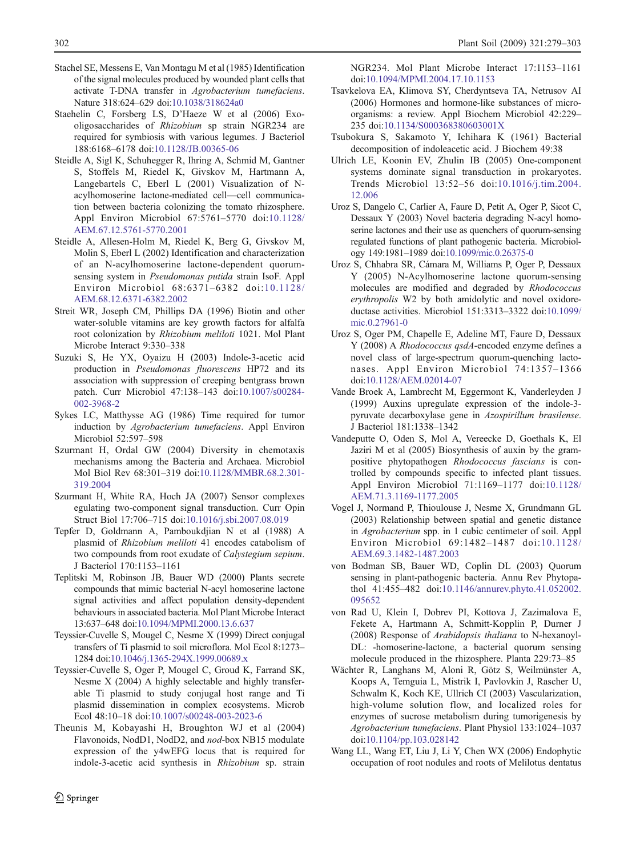- <span id="page-23-0"></span>Stachel SE, Messens E, Van Montagu M et al (1985) Identification of the signal molecules produced by wounded plant cells that activate T-DNA transfer in Agrobacterium tumefaciens. Nature 318:624–629 do[i:10.1038/318624a0](dx.doi.org/10.1038/318624a0)
- Staehelin C, Forsberg LS, D'Haeze W et al (2006) Exooligosaccharides of Rhizobium sp strain NGR234 are required for symbiosis with various legumes. J Bacteriol 188:6168–6178 do[i:10.1128/JB.00365-06](dx.doi.org/10.1128/JB.00365-06)
- Steidle A, Sigl K, Schuhegger R, Ihring A, Schmid M, Gantner S, Stoffels M, Riedel K, Givskov M, Hartmann A, Langebartels C, Eberl L (2001) Visualization of Nacylhomoserine lactone-mediated cell—cell communication between bacteria colonizing the tomato rhizosphere. Appl Environ Microbiol 67:5761–5770 do[i:10.1128](dx.doi.org/10.1128/AEM.67.12.5761-5770.2001)/ [AEM.67.12.5761-5770.2001](dx.doi.org/10.1128/AEM.67.12.5761-5770.2001)
- Steidle A, Allesen-Holm M, Riedel K, Berg G, Givskov M, Molin S, Eberl L (2002) Identification and characterization of an N-acylhomoserine lactone-dependent quorumsensing system in Pseudomonas putida strain IsoF. Appl Environ Microbiol 68:6371–6382 doi[:10.1128/](dx.doi.org/10.1128/AEM.68.12.6371-6382.2002) [AEM.68.12.6371-6382.2002](dx.doi.org/10.1128/AEM.68.12.6371-6382.2002)
- Streit WR, Joseph CM, Phillips DA (1996) Biotin and other water-soluble vitamins are key growth factors for alfalfa root colonization by Rhizobium meliloti 1021. Mol Plant Microbe Interact 9:330–338
- Suzuki S, He YX, Oyaizu H (2003) Indole-3-acetic acid production in Pseudomonas fluorescens HP72 and its association with suppression of creeping bentgrass brown patch. Curr Microbiol 47:138–143 do[i:10.1007/s00284](dx.doi.org/10.1007/s00284-002-3968-2)- [002-3968-2](dx.doi.org/10.1007/s00284-002-3968-2)
- Sykes LC, Matthysse AG (1986) Time required for tumor induction by Agrobacterium tumefaciens. Appl Environ Microbiol 52:597–598
- Szurmant H, Ordal GW (2004) Diversity in chemotaxis mechanisms among the Bacteria and Archaea. Microbiol Mol Biol Rev 68:301–319 do[i:10.1128/MMBR.68.2.301](dx.doi.org/10.1128/MMBR.68.2.301-319.2004)- [319.2004](dx.doi.org/10.1128/MMBR.68.2.301-319.2004)
- Szurmant H, White RA, Hoch JA (2007) Sensor complexes egulating two-component signal transduction. Curr Opin Struct Biol 17:706–715 do[i:10.1016/j.sbi.2007.08.019](dx.doi.org/10.1016/j.sbi.2007.08.019)
- Tepfer D, Goldmann A, Pamboukdjian N et al (1988) A plasmid of Rhizobium meliloti 41 encodes catabolism of two compounds from root exudate of Calystegium sepium. J Bacteriol 170:1153–1161
- Teplitski M, Robinson JB, Bauer WD (2000) Plants secrete compounds that mimic bacterial N-acyl homoserine lactone signal activities and affect population density-dependent behaviours in associated bacteria. Mol Plant Microbe Interact 13:637–648 do[i:10.1094/MPMI.2000.13.6.637](dx.doi.org/10.1094/MPMI.2000.13.6.637)
- Teyssier-Cuvelle S, Mougel C, Nesme X (1999) Direct conjugal transfers of Ti plasmid to soil microflora. Mol Ecol 8:1273– 1284 do[i:10.1046/j.1365-294X.1999.00689.x](dx.doi.org/10.1046/j.1365-294X.1999.00689.x)
- Teyssier-Cuvelle S, Oger P, Mougel C, Groud K, Farrand SK, Nesme X (2004) A highly selectable and highly transferable Ti plasmid to study conjugal host range and Ti plasmid dissemination in complex ecosystems. Microb Ecol 48:10–18 do[i:10.1007/s00248-003-2023-6](dx.doi.org/10.1007/s00248-003-2023-6)
- Theunis M, Kobayashi H, Broughton WJ et al (2004) Flavonoids, NodD1, NodD2, and nod-box NB15 modulate expression of the y4wEFG locus that is required for indole-3-acetic acid synthesis in Rhizobium sp. strain

NGR234. Mol Plant Microbe Interact 17:1153–1161 do[i:10.1094/MPMI.2004.17.10.1153](dx.doi.org/10.1094/MPMI.2004.17.10.1153)

- Tsavkelova EA, Klimova SY, Cherdyntseva TA, Netrusov AI (2006) Hormones and hormone-like substances of microorganisms: a review. Appl Biochem Microbiol 42:229– 235 do[i:10.1134/S000368380603001X](dx.doi.org/10.1134/S000368380603001X)
- Tsubokura S, Sakamoto Y, Ichihara K (1961) Bacterial decomposition of indoleacetic acid. J Biochem 49:38
- Ulrich LE, Koonin EV, Zhulin IB (2005) One-component systems dominate signal transduction in prokaryotes. Trends Microbiol 13:52–56 do[i:10.1016/j.tim.2004.](dx.doi.org/10.1016/j.tim.2004.12.006) [12.006](dx.doi.org/10.1016/j.tim.2004.12.006)
- Uroz S, Dangelo C, Carlier A, Faure D, Petit A, Oger P, Sicot C, Dessaux Y (2003) Novel bacteria degrading N-acyl homoserine lactones and their use as quenchers of quorum-sensing regulated functions of plant pathogenic bacteria. Microbiology 149:1981–1989 do[i:10.1099/mic.0.26375-0](dx.doi.org/10.1099/mic.0.26375-0)
- Uroz S, Chhabra SR, Cámara M, Williams P, Oger P, Dessaux Y (2005) N-Acylhomoserine lactone quorum-sensing molecules are modified and degraded by Rhodococcus erythropolis W2 by both amidolytic and novel oxidoreductase activities. Microbiol 151:3313–3322 do[i:10.1099](dx.doi.org/10.1099/mic.0.27961-0)/ [mic.0.27961-0](dx.doi.org/10.1099/mic.0.27961-0)
- Uroz S, Oger PM, Chapelle E, Adeline MT, Faure D, Dessaux Y (2008) A Rhodococcus qsdA-encoded enzyme defines a novel class of large-spectrum quorum-quenching lactonases. Appl Environ Microbiol 74:1357–1366 do[i:10.1128/AEM.02014-07](dx.doi.org/10.1128/AEM.02014-07)
- Vande Broek A, Lambrecht M, Eggermont K, Vanderleyden J (1999) Auxins upregulate expression of the indole-3 pyruvate decarboxylase gene in Azospirillum brasilense. J Bacteriol 181:1338–1342
- Vandeputte O, Oden S, Mol A, Vereecke D, Goethals K, El Jaziri M et al (2005) Biosynthesis of auxin by the grampositive phytopathogen Rhodococcus fascians is controlled by compounds specific to infected plant tissues. Appl Environ Microbiol 71:1169–1177 do[i:10.1128](dx.doi.org/10.1128/AEM.71.3.1169-1177.2005)/ [AEM.71.3.1169-1177.2005](dx.doi.org/10.1128/AEM.71.3.1169-1177.2005)
- Vogel J, Normand P, Thioulouse J, Nesme X, Grundmann GL (2003) Relationship between spatial and genetic distance in Agrobacterium spp. in 1 cubic centimeter of soil. Appl Environ Microbiol 69:1482–1487 doi[:10.1128/](dx.doi.org/10.1128/AEM.69.3.1482-1487.2003) [AEM.69.3.1482-1487.2003](dx.doi.org/10.1128/AEM.69.3.1482-1487.2003)
- von Bodman SB, Bauer WD, Coplin DL (2003) Quorum sensing in plant-pathogenic bacteria. Annu Rev Phytopathol 41:455–482 do[i:10.1146/annurev.phyto.41.052002](dx.doi.org/10.1146/annurev.phyto.41.052002.095652). [095652](dx.doi.org/10.1146/annurev.phyto.41.052002.095652)
- von Rad U, Klein I, Dobrev PI, Kottova J, Zazimalova E, Fekete A, Hartmann A, Schmitt-Kopplin P, Durner J (2008) Response of Arabidopsis thaliana to N-hexanoyl-DL: -homoserine-lactone, a bacterial quorum sensing molecule produced in the rhizosphere. Planta 229:73–85
- Wächter R, Langhans M, Aloni R, Götz S, Weilmünster A, Koops A, Temguia L, Mistrik I, Pavlovkin J, Rascher U, Schwalm K, Koch KE, Ullrich CI (2003) Vascularization, high-volume solution flow, and localized roles for enzymes of sucrose metabolism during tumorigenesis by Agrobacterium tumefaciens. Plant Physiol 133:1024–1037 do[i:10.1104/pp.103.028142](dx.doi.org/10.1104/pp.103.028142)
- Wang LL, Wang ET, Liu J, Li Y, Chen WX (2006) Endophytic occupation of root nodules and roots of Melilotus dentatus